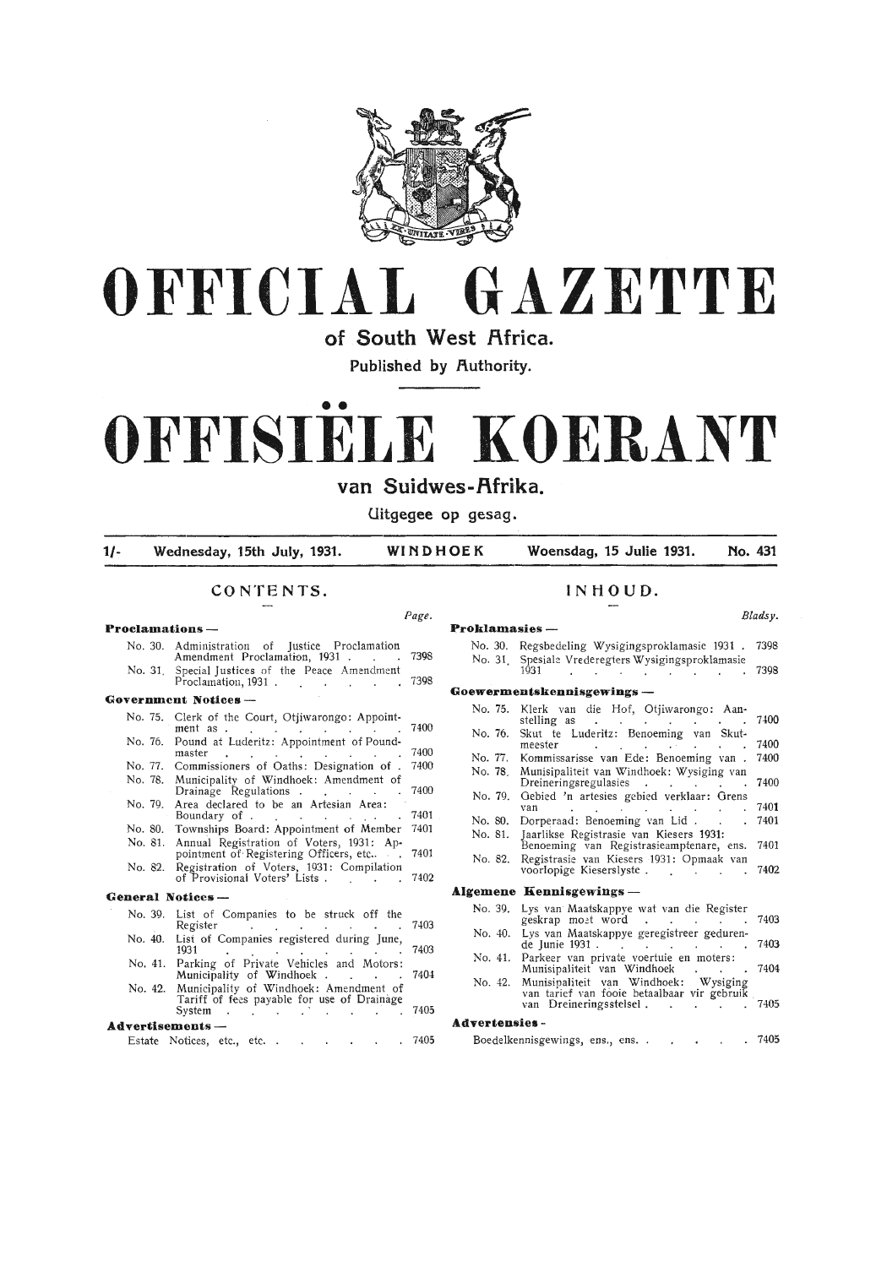



**of South West Africa.** 

**Published by Authority.** 

# •• **OFFISIELE KOERANT**

van Suidwes-Afrika.

**Uitgegee op gesag.** 

**1/- Wednesday, 15th July, 1931. WINDHOEK Woensdag, 15 Julie 1931. No. 431** 

*Page.* 

#### **CONTENTS.**

# **Proclamations** -

- No. 30. Administration of Justice Proclamation Amendment Proclamation, 1931 . 7398
- No. 31 . Special Justices of the Peace Amendment Proclamation, 1931 . **Government Notices** - 7398

# No. 75. Clerk of the Court, Otjiwarongo: Appoint-

- ment as . No. 76. Pound at Luderitz: Appointment of Poundmaster 7400 7400
- No. 77. Commissioners of Oaths: Designation of . 7400
- No. 78. Municipality of Windhoek: Amendment of
- Drainage Regulations . No. 79. Area declared to be an Artesian Area: 7400 7401
- Boundary of . No. 80. Townships Board: Appointment of Member 7401
- No. 81. Annual Registration of Voters, 1931: Appointment of Registering Officers, etc.. 7401
- No. 82. Registration of Voters, 1931: Compilation of Provisional Voters' Lists . 7402

#### **General Notices** -

- No. 39. List of Companies to be struck off the Register No. 40. List of Companies registered during June, 7403
- 1931 No. 41. Parking of Private Vehicles and Motors: 7403
- Municipality of Windhoek . No. 42. Municipality of Windhoek: Amendment of 7404
- Tariff of fees payable for use of Drainage System · 7405  $\sim$  $\sim 10^{-1}$ **Advertisements** -
- Estate Notices, etc., etc. . . . . . . 7405

#### **INHOUD.**

#### Proklamasies -No. 30. Regsbedeling Wysigingsproklamasie 1931 . 7398 No. 31. Spesiale Vrederegters Wysigingsproklamasie 1931 . . . . . . . . 7398 **Goewermentskennisgewings** - No. 75. Klerk van die Hof, Otjiwarongo: Aanstelling as 7400 No. 76. Skut te Luderitz: Benoeming van Skutmeester . . . . . . . 7400 No. 77. Kommissarisse van Ede: Benoeming van . 7400 No. 78. Munisipaliteit van Windhoek: Wysiging van Dreineringsregulasies 7400 No. 79. Gebied 'n artesies gebied verklaar: Grens<br>van 1401<br>No. 80. Dorperaad: Benoeming van Lid. . . . 7401 No. 80. Dorperaad: Benoeming van Lid. No. 81. Jaarlikse Registrasie van Kiesers 1931: Benoeming van Registrasieamptenare, ens. 7401 No. 82. Registrasie van Kiesers 1931: Opmaak van voorlopige Kieserslyste . 7402 **Algemene Kennisgewings** --No. 39. Lys van Maatskappye wat van die Register geskrap moet word . . . . 7403 No. 40. Lys van Maatskappye geregistreer geduren- de Junie 1931 . 7403 No. 41. Parkeer van private voertuie en moters: Munisipaliteit van Windhoek . . . 7404 No. 42. Munisipaliteit van Windhoek: Wysiging<br>van tarief van fooie betaalbaar vir gebruik<br>van Dreineringsstelsel . . . . . . . 7405 **Advertensies** - Boedelkennisgewings, ens., ens. . . . . . 7405

*Bladsy.*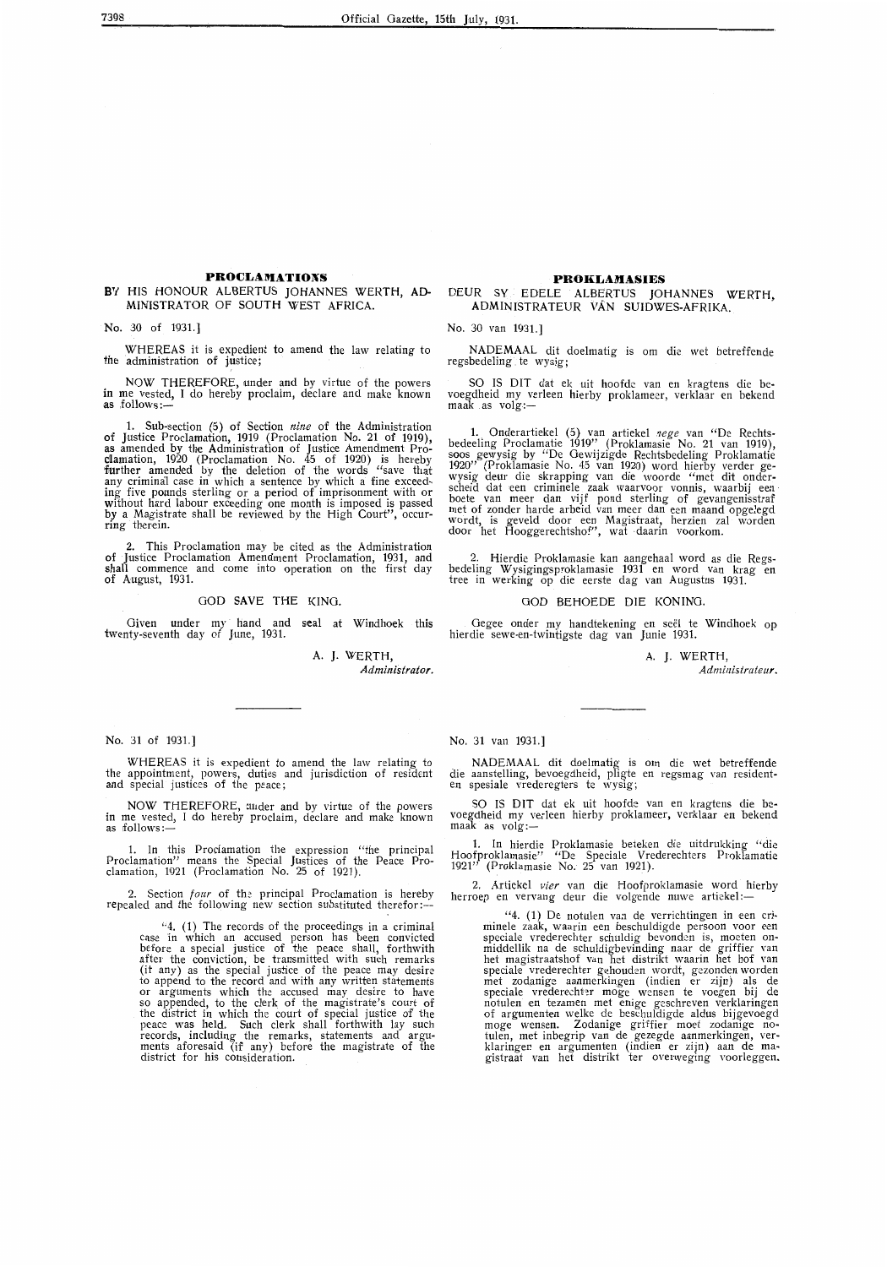#### **PROCLAMATIONS**

#### **BY** HIS HONOUR ALBERTUS JOHANNES WERTH, AD-MINISTRATOR OF SOUTH WEST AFRICA.

No. 30 of 1931.]

WHEREAS it is expedient to amend the law relating to the administration of justice;

NOW THEREFORE, under and by virtue of the powers in me vested, I do hereby proclaim, declare and make known<br>as .follows:—

1. Sub-section (5) of Section *nine* of the Administration of Justice Proclamation, 1919 (Proclamation No. 21 of 1919), as amended by the Administration of Justice Amendment Proclamation, 1920 (Proclamation No. 45 of 1920) is hereby •fiurther amended by the deletion of the words "save that any criminal case in which a sentence by which a fine exceed-ing five pounds sterling or a period of imprisonment with or without hard labour exceeding one month is imposed is passed **by** a Magistrate shall be reviewed by the High Court", occur- ring therein.

2. This Proclamation may be cited as the Administration of Justice Proclamation Amendment Proclamation, 1931, and shall commence and come into operation on the first day of August, 1931.

#### GOD **SAVE** THE KING.

Given under my hand and seal at Windhoek this twenty-seventh day of June, 1931.

# A. J. WERTH,

*Administrator.* 

No. 31 of 1931.]

WHEREAS it is expedient to amend the law relating *to*  the appointment, powers, duties and jurisdiction of resident and special justices of the peace;

NOW THEREFORE, under and by virtue of the powers in me vested, I do hereby proclaim, declare and make known as follows:-

1. In this Proclamation the expression "the principal Proclamation" means the Special Justices of the Peace Proclamation, 1921 (Proclamation No. 25 of 1921).

2. Section *four* of the principal Proclamation is hereby repealed and the following new section substituted therefor:--

"4. (1) The records of the proceedings in a criminal case in which an accused person has been convicted before a special justice of the peace shall, forthwith after the conviction, be transmitted with such remarks (it any) as the special justice of the peace may desire to append to the record and with any written statements or arguments which the accused may desire to have so appended, to the clerk. of the magistrate's court of the district in which the court of special justice of the peace was held. Such clerk shall forthwith lay such records, including the remarks, statements and arguments aforesaid (if any) before the magistrate of the district for his consideration.

#### **PROKLAMASIES**

#### DEUR SY EDELE ALBERTUS JOHANNES WERTH, ADMINISTRATEUR VAN SUIDWES-AFRIKA.

No. 30 van 1931.]

NADEMAAL dit doelmatig is om die wet betreffende regsbedeling te wysig;

SO IS DIT dat ek uit hoofde van en kragtens die bevoegdheid my verleen hierby proklameer, verklaar en bekend  $maak$  as  $volg$ :-

1. \_ Onderartiekel (5) van artiekel *nege* van " De Rechtsbedeeling Proclamatie 1919" (Proklamasie No. 21 van 1919), soos gewysig by "De Gewijzigde Rechtsbedeling Proklamatie 1920" (Proklamasie No. 45 van 1920) word hierby verder gewysig deur die skrapping van die woorde "met dit onderscheid dat een criminele zaak waarvoor vonnis, waarbij een boete van meer dan vijf pond sterling of gevangenisstraf met of zonder harde arbeid van meer dan een maand opgelegd wordt, is geveld door een Magistraat, herzien zal worden door het Hooggerechtshof", wat -daarin voorkom.

2. Hierdie Proklamasie kan aangehaal word as die Regsbedeling Wysigingsproklamasie 1931 en word van krag en<br>tree in werking op die eerste dag van Augustus 1931.

#### GOD BEHOEDE DIE KONING.

Gegee onder my handtekening en see! te Windhoek op hierdie sewe-en-twintigste dag van Junie 1931.

A. J. WERTH,

*Administrateur.* 

No. 31 van 1931.]

\_ NADEMAAL dit doelmatig is om die wet betreffende die aanstelling, bevoegdheid, pligte en regsmag van resident-<br>en spesiale vrederegters te wysig;

SO IS DIT dat ek uit hoofde van en kragtens die bevoegdheid my verleen hierby proklameer, verklaar en bekend maak as  $volg:$ 

1. In hierdie Proklamasie beteken die uitdrukking "die Hoofproklamasie" "De Speciale Vrederechters Proklamatie 1921" (Proklamasie No. 25 van 1921).

2. Artiekel *vier* van die Hoofproklamasie word hierby herroep en vervang deur die volgende nuwe artiekel:—

"4. (1) De notulen van de verrichtingen in een criminele zaak, waarin een beschuldigde persoon voor een<br>speciale vrederechter schuldig bevonden is, moeten on-<br>middellik na de schuldigbevinding naar de griffier van<br>het magistraatshof van het distrikt waarin het hof van<br>spe met zodanige aanmerkingen (indien er zijn) als de speciale vrederechter moge wensen te voegen bij de notulen en tezamen met enige geschreven verklaringen of argumenten welke de beschuldigde aldus bijgevoegd moge wensen. Zodanige griffier moet zodanige no-<br>tulen, met inbegrip van de gezegde aanmerkingen, ver-<br>klaringen en argumenten (indien er zijn) aan de ma-<br>gistraat van het distrikt ter overweging voorleggen.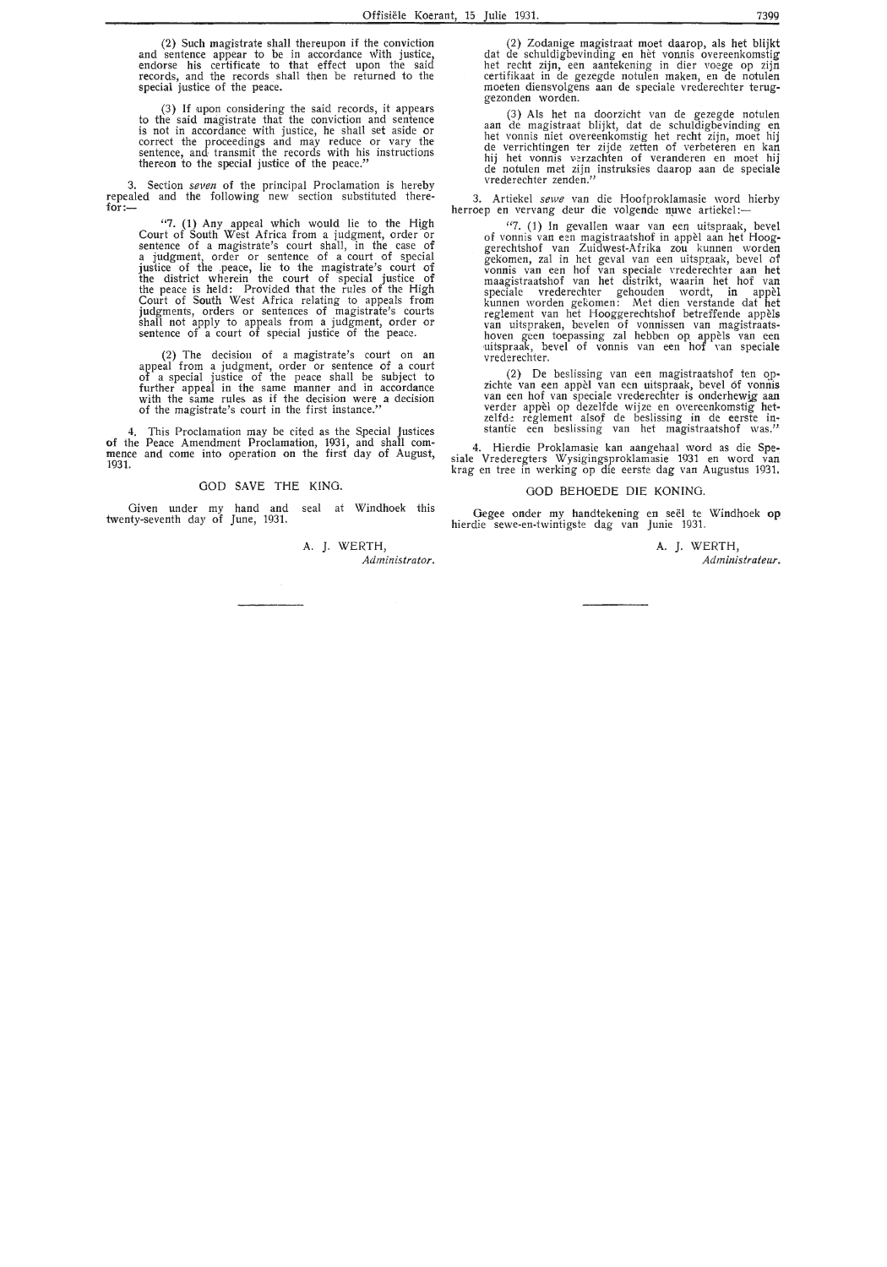(2) Such magistrate shall thereupon if the conviction and sentence appear to be in accordance with justice, endorse his certificate to that effect upon the said records, and the records shall then be returned to the special justice of the peace.

(3) If upon considering the said records, it appears to the said magistrate that the conviction and sentence is not in accordance with justice, he shall set aside or correct the proceedings and may reduce or vary the sentence, and transmit the records with his instructions thereon to the special justice of the peace."

3. Section *seven* of the principal Proclamation is hereby repealed and the following new section substituted there-<br>f<mark>or:—</mark>

"7. **(1)** Any appeal which would lie to the H(gh Court of South West Africa from a judgment, order or sentence of a magistrate's court shall, in the case of a judgment, order or sentence of a court of special justice of the peace, lie to the magistrate's court of the district wherein the court of special justice of the peace is held: Provided that the rules of the High Court of South West Africa relating to appeals from judgments, orders or sentences of magistrate's courts<br>shall not apply to appeals from a judgment, order or<br>sentence of a court of special justice of the peace.

(2) The decision of a magistrate's court on an appeal from a judgment, order or sentence of a court of a special justice of the peace shall be subject to further appeal in the same manner and in accordance with the same rules as if the decision were a decision of the magistrate 's court in the first instance."

4. This Proclamation may be cited as the S\_pecial Justices of the Peace Amendment Proclamation, 1931, and shall com- mence and come into operation on the first day of August, 1931.

#### GOD SAVE THE KING.

Given under my hand and seal at Windhoek this twenty-seventh day of June, 1931.

> A. *].* WERTH, *Administrator.*

(2) Zodanige magistraat moet daarop, als het blijkt dat de schuldigbevinding en het vonnis overeenkomstig het recht zijn, een aantekening in dier voege op zijn certifikaat in de gezegde notulen maken, en de notulen moeten diensvolgens aan de speciale vrederechter teruggezonden worden.

(3) Als het na doorzicht van de gezegde notulen aan de magistraat blijkt, dat de schuldigbevinding en het vonnis niet overeenkomstig het recht zijn, moet hij de verrichtingen ter zijde zetten of verbeteren en kan hij het vonnis verzachten of veranderen en moet hij de notulen met zijn instruksies daarop aan de speciale vrederechter zenden."

3. Artiekel *sewe* van die Hoofproklamasie word hierby herroep en vervang deur die volgende nuwe artiekel :-

"7. (1) In gevallen waar van een uitspraak, bevel of vonnis van een magistraatshof in appel aan het Hooggerechtshof van Zuidwest-Afrika zou kunnen worden<br>gekomen, zal in het geval van een uitspraak, bevel of vonnis van een hof van speciale vrederechter aan het maagistraatshof van het distrikt, waarin het hof van speciale vrederechter gehouden wordt, in appel kunnen worden gekomen: Met dien verstande dat het reglement van het Hooggerechtshof betreffende appels van uitspraken, bevelen of vonnissen van magistraatshoven geen toepassing zal hebben op appels van een uitspraak, bevel of vonnis van een hof Yan speciale vrederechter.

(2) De beslissing van een magistraatshof ten opzichte van een appèl van een uitspraak, bevel of vonnis zichte van een appèl van een uitspraak, bevel of vonnis<br>van een hof van speciale vrederechter is onderhewig aan<br>verder appèl op dezelfde wijze en overeenkomstig hetzelfde reglement alsof de beslissing in de eerste instantie een beslissing van het magistraatshof was."

4. Hierdie Proklamasie kan aangehaal word as die Spe-<br>siale Vrederegters Wysigingsproklamasie 1931 en word van<br>krag en tree in werking op die eerste dag van Augustus 1931.

#### GOD BEHOEDE DIE KONING.

Gegee onder my handtekening en seël te Windhoek op hierdie sewe-en-twintigste dag van Junie 1931.

> **A. J.** WERTH, *Administrateur.*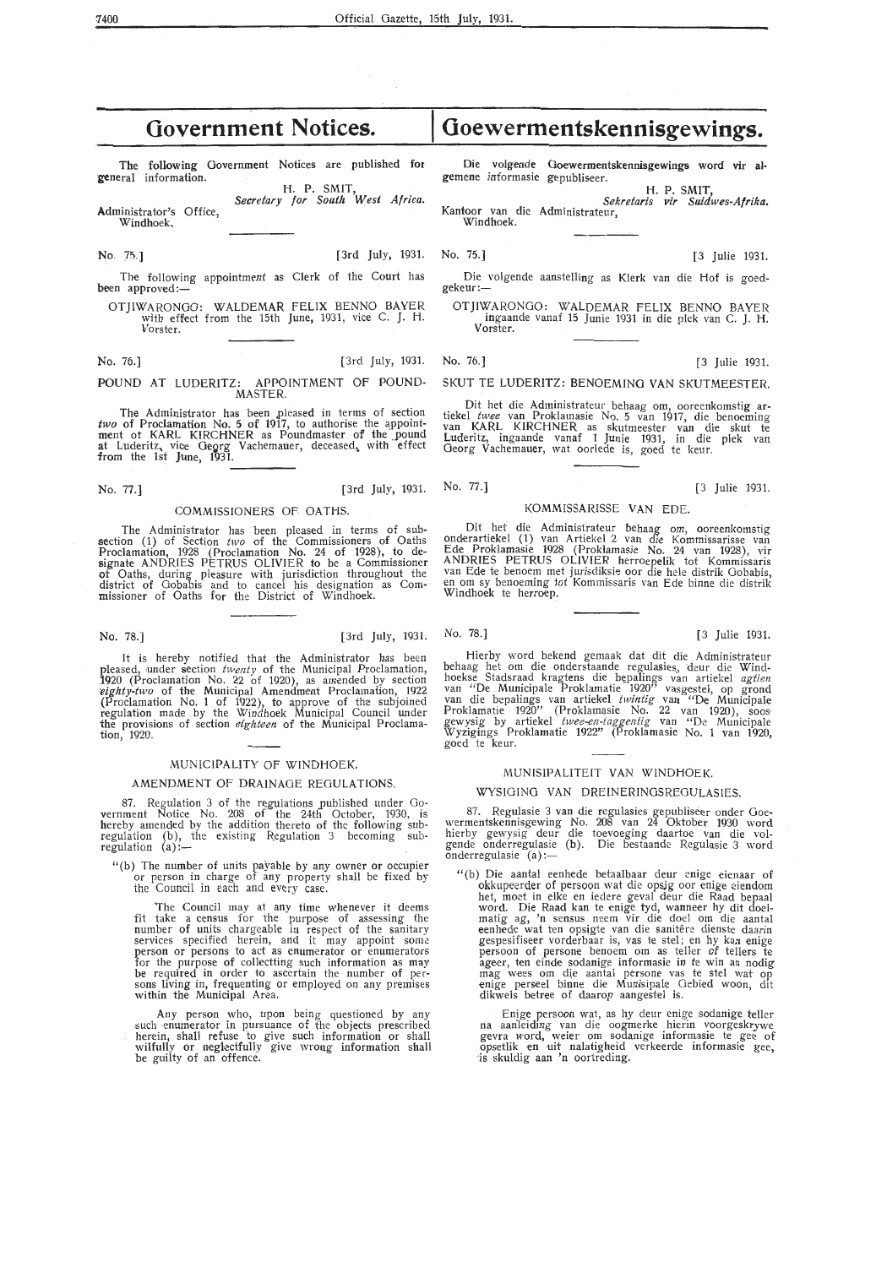| The following Government Notices are published for           | Die volgende Goewermentskennisgewings word vir al-        |
|--------------------------------------------------------------|-----------------------------------------------------------|
| general information.                                         | gemene informasie gepubliseer.                            |
| H. P. SMIT,                                                  | H. P. SMIT.                                               |
| Secretary for South West Africa.                             | Sekretaris vir Suidwes-Afrika.                            |
| Administrator's Office,                                      | Kantoor van die Administrateur,                           |
| Windhoek.                                                    | Windhoek.                                                 |
| [3rd July, 1931. No. $75.$ ]<br>No. 75.]                     | [3 Julie 1931.                                            |
| The following appointment as Clerk of the Court has          | Die volgende aanstelling as Klerk van die Hof is goed-    |
| been approved: $-$                                           | gekeur:                                                   |
| OTJIWARONGO: WALDEMAR FELIX BENNO BAYER                      | OTJIWARONGO: WALDEMAR FELIX BENNO BAYER                   |
| with effect from the 15th June, 1931, vice C. J. H.          | ingaande vanaf 15 Junie 1931 in die plek van C. J. H.     |
| Vorster.                                                     | Vorster.                                                  |
| [3rd July, 1931. No. 76.]<br>No. 76.]                        | [3 Julie 1931.                                            |
| POUND AT LUDERITZ: APPOINTMENT OF POUND-<br>MASTER.          | SKUT TE LUDERITZ: BENOEMING VAN SKUTMEESTER.              |
| The Administrator has been pleased in terms of section       | Dit het die Administrateur behaag om, ooreenkomstig ar-   |
| two of Proclamation No. 5 of 1917, to authorise the appoint- | tiekel twee van Proklamasie No. 5 van 1917, die benoeming |
| ment of KARL KIRCHNER as Poundmaster of the pound            | van KARL KIRCHNER as skutmeester van die skut te          |
| at Luderitz, vice Georg Vachemauer, deceased, with effect    | Luderitz, ingaande vanaf 1 Junie 1931, in die plek van    |
| from the 1st June, 1931.                                     | Georg Vachemauer, wat oorlede is, goed te keur.           |
|                                                              |                                                           |

No. 77.] [3rd July, 1931. No. 77.] [3 Julie 1931.

**Government Notices.** 

#### COMMISSIONERS OF OATHS.

The Administrator has been pleased in terms of sub-<br>section (1) of Section *two* of the Commissioners of Oaths Proclamation, 1928 (Proclamation No. 24 of 1928), to designate ANDRIES PETRUS OLIVIER to be a Commissioner ot Oaths, during pleasure with jurisdiction throughout the district of Oobabis and to canoe! his designation as Commissioner of Oaths for the District of Windhoek.

No. 78.] [3rd July, 1931. No. 78.] [3 Julie 1931.

It is hereby notified that the Administrator has been pleased, under section *twenty* of the Municipal Proclamation, 1920 (Proclamation No. 22 of 1920), as amended by section 'eighty-two of the Municipal Amendment Proclamation, 1922 (Proclamation No. 1 of 1922), *to* approve of the subjoined regulation made by the Windhoek Municipal Council under the provisions of section *eighteen* of the Municipal Proclamation, 1920.

#### MUNICIPALITY OF WINDHOEK.

#### AMENDMENT OF DRAINAGE REGULATIONS.

87. Regulation 3 of the regulations published under Government Notice No. 208 of the 24th October, 1930, is hereby amended by the addition thereto of the following subhereby amended by the addition thereto of the following sub-<br>regulation (b), the existing Regulation 3 becoming sub-<br>regulation (a):-

" (b) The number of units payable by any owner or occupier or person in charge of any property shall be fixed by the Council in each and every case.

The Council may at any time whenever it deems fit take a census for the purpose of assessing the number of units chargeable in respect of the sanitary services specified herein, and it may appoint some person or persons to act as enumerator or enumerators for the purpose of collectting such information as may be required in order to ascertain the number of per-<br>sons living in, frequenting or employed on any premises within the Municipal Area.

Any person who, upon being questioned by any such enumerator in pursuance of the objects prescribed herein, shall refuse to give such information or shall wilfully or neglectfully give wrong information shall be guilty of an offence.

# **Goewermentskennisgewings.**

#### KOMMISSARISSE VAN EDE.

Dit het die Administrateur behaag om, ooreenkomstig onderartiekel (1) van Artiekel 2 van die Kommissarisse van Ede Proklamasie 1928 (Proklamasie No. 24 van 1928), vir ANDRIES PETRUS OLIVIER herroepelik tot Kommissaris van Ede te benoem met jurisdiksie oor die hele distrik Oobabis, en om sy benoeming tot Kommissaris van Ede binne die distrik Windhoek te herroep.

Hierby word bekend gemaak dat dit die Administrateur behaag het om die onderstaande regulasies., deur die Windhoekse Stadsraad kragtens die bepalings van artiekel *agtien*<br>van "De Municipale Proklamatie 1920" vasgestel, op grond<br>van die bepalings van artiekel *twintig* van "De Municipale Proklamatie 1920" (Proklamasie No. 22 van 1920), soos, gewysig by artiekel *twee-en-taggentig* van "De Municipale Wyzigings Proklamatie 1922" (Proklamasie No. 1 van 1920, goed te keur.

#### MUNISIPALITEIT VAN WINDHOEK.

#### WYSIGINO VAN DREINERINGSREOULAS!ES.

87. Regulasie 3 van die regulasies gepubliseer onder Goe-<br>wermentskennisgewing No. 208 van 24 Oktober 1930 word hierby gewysig deur die toevoeging daartoe van die volgende onderregulasie (b). Die bestaande Regulasie 3 word onderregulasie (a):-

" (b) Die aantal· eenhede betaalbaar deur enige eienaar of okkupeerder of persoon wat die opsjg oor enige eiendom het, moet in elke en iedere geval deur die Raad bepaal word. Die Raad kan te enige tyd, wanneer hy dit doelmatig ag, 'n sensus neem vir die doel om die aantal eenhede wat ten opsigte van die sanitere dienste daarin gespesifiseer vorderbaar is, vas te stel; en hy kan enige persoon of persone benoem om as teller of tellers te ageer, ten einde sodanige informasie in te win as nodig mag wees om die aantal persone vas te stel wat op enige perseel binne die Munisipale Gebied woon, dit dikwels betree of daarop aangestel is.

Enige persoon wat, as hy deur enige sodanige teller na aanleiding van die oogrnerke hierin voorgeskrywe gevra word, weier om sodanige informasie te gee of opsetlik en uit nalatigheid verkeerde informasie gee, is skuldig aan 'n oortreding.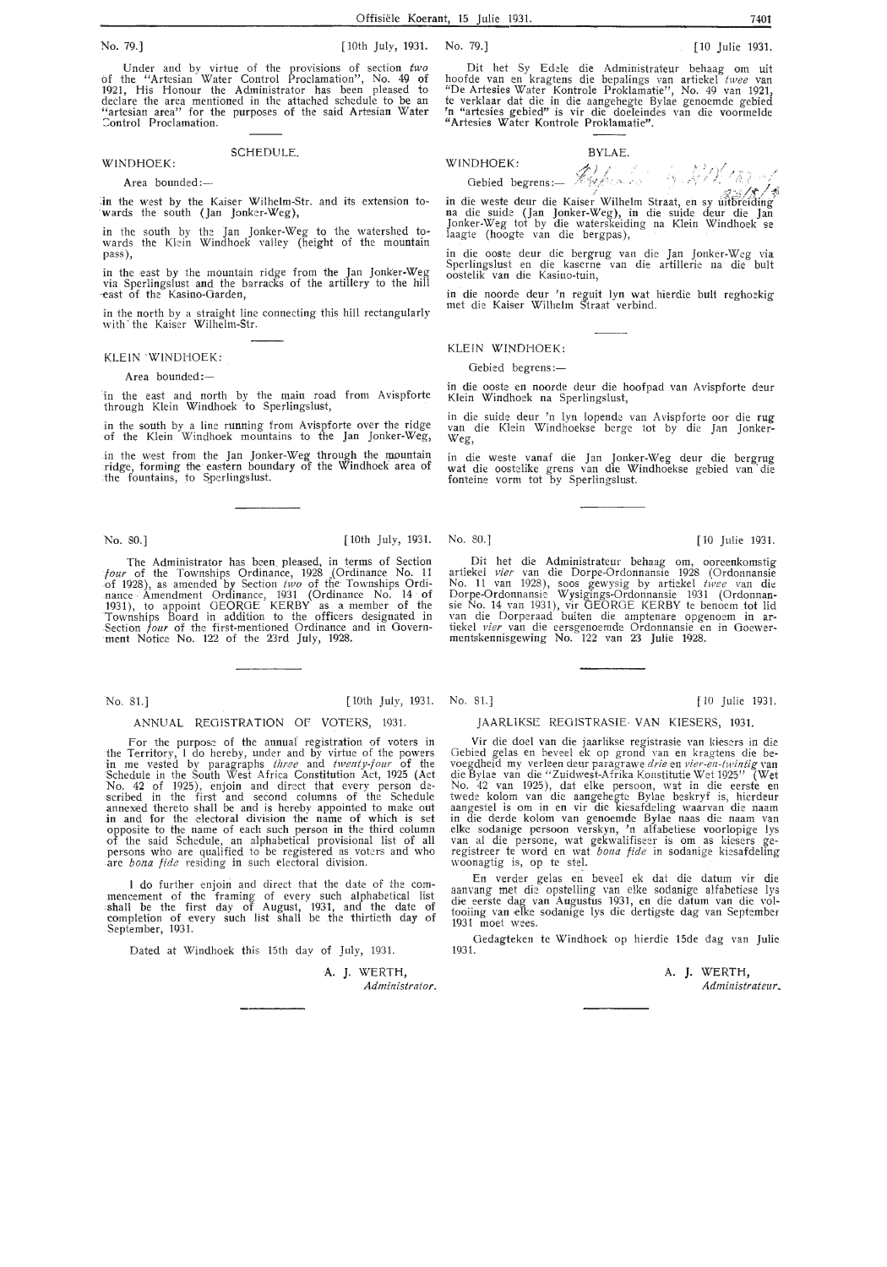Under and by virtue of the provisions of section *two*  of the "Artesian Water Control Proclamation", No. 49 of 1921, His Honour the Administrator has been pleased to declare the area mentioned in the attached schedule to be an<br>"artesian area" for the purposes of the said Artesian Water :ontrol Proclamation.

#### SCHEDULE.

Area bounded:-

WINDHOEK:

:in the west by the Kaiser Wilhelm-Str. and its extension towards the south (Jan Jonker-Weg),

in the south by the Jan Jonker-Weg to the watershed towards the Klein Windhoek valley (height of the mountain pass),

in the east by the mountain ridge from the Jan Jonker-Weg via Sperlingslust and the barracks of the artillery to the hill east of the Kasino-Garden,

in the north by a straight line connecting this hill rectangularly with the Kaiser Wilhelm-Str.

#### KLEIN 'WINDHOEK:

Area bounded:-

in the east and north by the main road from Avispforte through Klein Windhoek to Sperlingslust,

in the south by a line running from Avispforte over the ridge of the Klein Windhoek mountains to the Jan Jonker-Weg,

in the west from the Jan Jonker-Weg through the mountain ridge, forming the eastern boundary of the Windhoek area of the fountains, to Sperlingslust.

The Administrator has been\_ pleased, in terms of Section *four* of the Townships Ordinance, 1928 \_(Ordinance No. 11 of 1928), as amended by Section *two* of the Townships Ordi- nance . Amendment Ordinance, 1931 (Ordinance No. 14 of 1931), to appoint GEORGE KERBY as a member of the Townships Board in addition to the officers designated in Section *four* of the first-mentioned Ordinance and in Government Notice No. 122 of the 23rd July, 1928.

#### ANNUAL REGISTRATION OF VOTERS, 1931.

For the purpose of the annual registration of voters in the Territory, I do hereby, under and by virtue of the powers in me vested by paragraphs *three* and *twenty-four* of the Schedule in the South West Africa Constitution Act, 1925 (Act No. 42 of 1925), enjoin and direct that every person de scribed in the first and second columns of the Schedule annexed thereto shall be and is hereby appointed to make out in and for the electoral division the name of which is set opposite to the name of each such person in the third column of the said Schedule, an alphabetical provisional list of all persons who are qualified to be registered as voters and who are *bona fide* residing in such electoral division.

I do further enjoin and direct that the date of the commencement of the framing of every such alphabetical list shall be the first day of August, 1931, and the date of completion of every such list shall be the thirtieth day of :September, 1931.

Dated at Windhoek this 15th day of July, 1931.

A. J. WERTH, Administrator.

No. 81.] [10th July, 1931. No. 81.] [ 10 Julie 1931.

#### JAARLIKSE REOJSTRASIE· VAN KIESERS, 1931.

Vir die doel van die jaarlikse registrasie van kiesers in die Gebied gelas en beveel ek op grond van en kragtens die be- voegdheid my verleen deur paragrawe *drie* en *vier-en-twintig* van die Bylae van die "Zuidwest-Afrika Konstitutie Wet 1925" (Wet No. 42 van 1925 ), dat elke persoon, wat in die eerste en twede kolom van die aangehegte Bylae beskryf is, hierdeur aangestel is om in en vir die kiesafdeling waarvan die naam<br>in die derde kolom van genoemde Bylae naas die naam van<br>elke sodanige persoon verskyn, 'n alfabetiese voorlopige lys<br>van al die persone, wat gekwalifiseer is om a registreer te word en wat *bona fide* in sodanige kiesafdeling woonagtig is, op te stel.

En verder gelas en beveel ek dat die datum vir die aanvang met die opstelling van elke sodanige alfabetiese lys die eerste dag van Augustus 1931, en die datum van die voltooiing van elke sodanige lys die dertigste dag van September 1931 moet wees.

Gedagteken te Windhoek op hierdie 15de dag van Julie 1931.

> A. J. WERTH, Administrateur.

Dit het Sy Edele die Administrateur behaag om uit hoofde van en kragtens die bepalings van artiekel *twee v*an<br>"De Artesies Water Kontrole Proklamatie", No. 49 van 1921,<br>te verklaar dat die in die aangehegte Bylae genoemde gebied 'n "artesies gebied" is vir die doeleindes van die voormelde "Artesies Water Kontrole Proklamatie".

#### BYLAE.

WINDHOEK:  $\mathcal{L}_{\mathcal{M}}$  ,  $\mathcal{L}_{\mathcal{M}}$ 

Gebied begrens :-

in die weste deur die Kaiser Wilhelm Straat, en sy uitbreiding<br>na die suide (Jan Jonker-Weg), in die suide deur die Jan Jonker-Weg tot by die waterskeiding na Klein Windhoek se laagte (hoogte van die bergpas),

in die ooste deur die bergrug van die Jan Jonker-Weg via Sperlingslust en die kaserne van die artillerie na die bult oostelik van die Kasino-tuin,

in die noorde deur 'n reguit lyn wat hierdie bult reghoekig met die Kaiser Wilhelm Straat verbind.

#### KLEIN WINDHOEK:

#### Gebied begrens :-

in die ooste en noorde deur die hoofpad van Avispforte deur Klein Windhoek na Sperlingslust,

in die suide deur 'n lyn !open de van A vispforte oor die rug van die Klein Windhoekse berge *tot* by die Jan Jonker-Weg,

in die weste vanaf die Jan Jonker-Weg deur die bergrug wat die oostelike grens van die Windhoekse gebied van · die fonteine vorm tot by Sperlingslust.

Dit het die Administrateur behaag om, ooreenkomstig artiekel *vier* van die Dorpe-Ordonnansie 1928 (Ordonnansie No. 11 van 1928), soos gewysig by artiekel *twee* van die Dorpe-Ordonnansie Wysigings-Ordonnansie 1931 (Ordonnansie No. 14 van 1931), vir GEORGE KERBY te benoem tot lid van die Dorperaad buiten die amptenare opgenoem in ar-<br>tiekel *vier* van die eersgenoemde Ordonnansie en in Goewer-<br>mentskennisgewing No. 122 van 23 Julie 1928.

No. SO.] [ 10th July, 1931. No. 80.] [ 10 Julie 1931.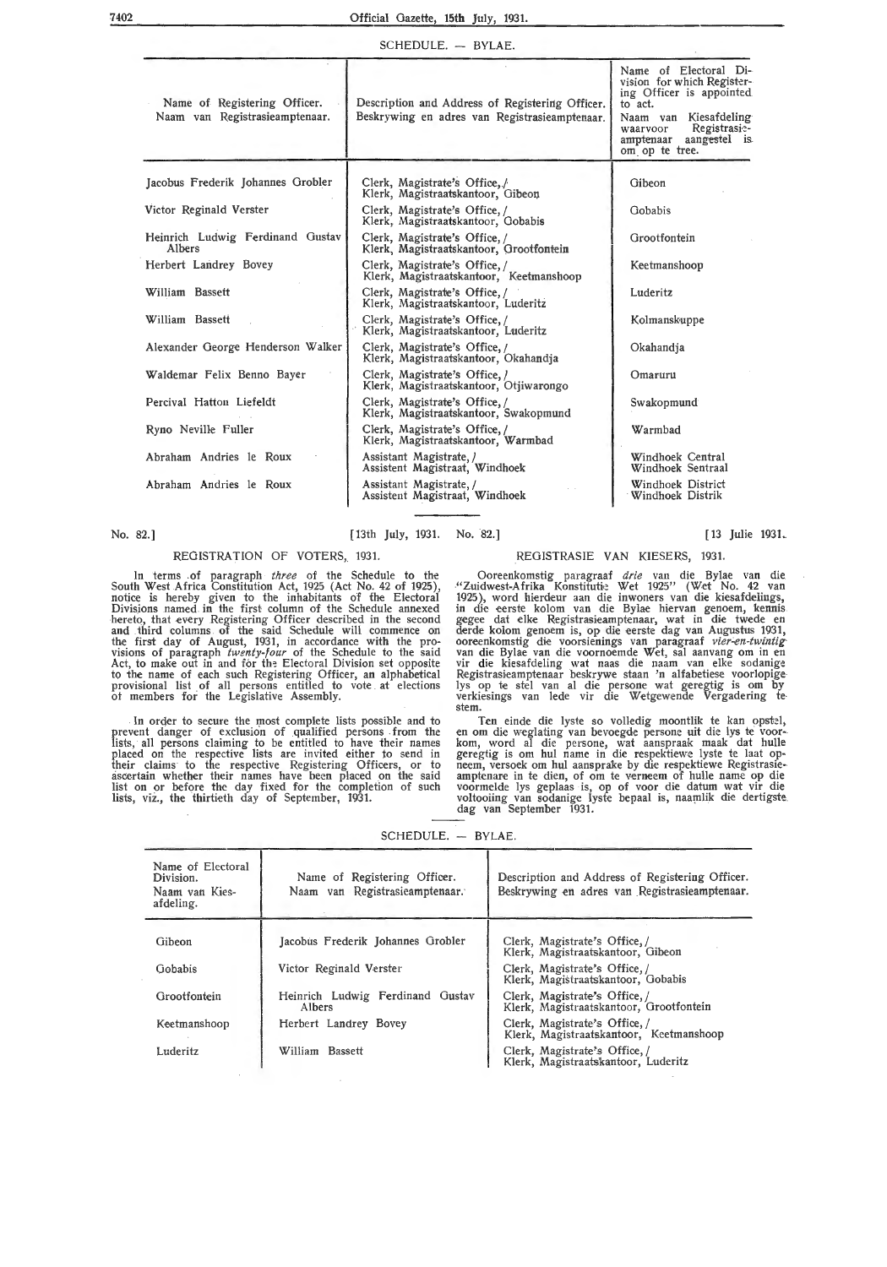#### Official Gazette, **15th** July, 1931.

#### SCHEDULE. - BYLAE.

| Name of Registering Officer.<br>Naam van Registrasieamptenaar. | Description and Address of Registering Officer.<br>Beskrywing en adres van Registrasieamptenaar. | Name of Electoral Di-<br>vision for which Register-<br>ing Officer is appointed<br>to act.<br>Kiesafdeling<br>Naam van<br>Registrasie-<br>waarvoor<br>a <del>mpten</del> aar<br>aangestel is<br>om op te tree. |
|----------------------------------------------------------------|--------------------------------------------------------------------------------------------------|----------------------------------------------------------------------------------------------------------------------------------------------------------------------------------------------------------------|
| Jacobus Frederik Johannes Grobler                              | Clerk, Magistrate's Office, /<br>Klerk, Magistraatskantoor, Gibeon                               | Gibeon                                                                                                                                                                                                         |
| Victor Reginald Verster                                        | Clerk, Magistrate's Office, /<br>Klerk, Magistraatskantoor, Gobabis                              | Gobabis                                                                                                                                                                                                        |
| Heinrich Ludwig Ferdinand Gustav<br>Albers                     | Clerk, Magistrate's Office, /<br>Klerk, Magistraatskantoor, Grootfontein                         | Grootfontein                                                                                                                                                                                                   |
| Herbert Landrey Bovey                                          | Clerk, Magistrate's Office, /<br>Klerk, Magistraatskantoor, Keetmanshoop                         | Keetmanshoop                                                                                                                                                                                                   |
| William Bassett                                                | Clerk, Magistrate's Office,/<br>Klerk, Magistraatskantoor, Luderitz                              | Luderitz                                                                                                                                                                                                       |
| William Bassett                                                | Clerk, Magistrate's Office, /<br>Klerk, Magistraatskantoor, Luderitz                             | Kolmanskuppe                                                                                                                                                                                                   |
| Alexander George Henderson Walker                              | Clerk, Magistrate's Office, /<br>Klerk, Magistraatskantoor, Okahandja                            | Okahandja                                                                                                                                                                                                      |
| Waldemar Felix Benno Bayer                                     | Clerk, Magistrate's Office, /<br>Klerk, Magistraatskantoor, Otiiwarongo                          | Omaruru                                                                                                                                                                                                        |
| Percival Hatton Liefeldt                                       | Clerk, Magistrate's Office,/<br>Klerk, Magistraatskantoor, Swakopmund                            | Swakopmund                                                                                                                                                                                                     |
| Ryno Neville Fuller                                            | Clerk, Magistrate's Office,/<br>Klerk, Magistraatskantoor, Warmbad                               | Warmbad                                                                                                                                                                                                        |
| Abraham Andries le Roux                                        | Assistant Magistrate, /<br>Assistent Magistraat, Windhoek                                        | Windhoek Central<br>Windhoek Sentraal                                                                                                                                                                          |
| Abraham Andries le Roux                                        | Assistant Magistrate, /<br>Assistent Magistraat, Windhoek                                        | Windhoek District<br>Windhoek Distrik                                                                                                                                                                          |

No. 82.] [13th July, 1931. No. 82.] [ 13 Julie 1931.

#### REGISTRATION OF VOTERS, 1931.

In terms of paragraph *three* of the Schedule to the South West Africa Constitution Act, 1925 (Act No. 42 of 1925), notice is hereby given to the inhabitants of the Electoral Divisions named in the first column of the Schedule annexed hereto, that every Registering Officer described in the second and third columns of the said Schedule will commence on the first day of August, 1931, in accordance with the provisions of paragraph *twenty-four* of the Schedule to the said Act, to make out in and for the Electoral Division set opposite *to* the name of each such Registering Officer, an alphabetical provisional list of all persons entitled to vote . at elections ot members for the Legislative Assembly.

In order to secure the most complete lists possible and to prevent danger of exclusion of qualified persons from the lists, all persons claiming to be entitled to have their names placed on the respective lists are invited either to send in their claims to the respective Registering Officers, or to ascertain whether their names have been placed on the said list on or before the day fixed for the completion of such lists, viz., the thirtieth day of September, 1931.

REGISTRASIE VAN KIESERS, 1931.

Ooreenkomstig paragraaf *drie* van die Bylae van die "Zuidwest-Afrika Konstituti:~ Wet 1925" (Wet No. 42 van<br>1925), word hierdeur aan die inwoners van die kiesafdelings, in die eerste kolom van die Bylae hiervan genoem, kennis gegee dat elke Registrasieamptenaar, wat in die twede en<br>derde kolom genoem is, op die eerste dag van Augustus 1931, ooreenkomstig die voorsienings van paragraaf *vier-en-twintig*<br>van die Bylae van die voornoemde Wet, sal aanvang om in en<br>vir die kiesafdeling wat naas die naam van elke sodanige Registrasieamptenaar beskrywe staan 'n alfabetiese voorlopige lys op te stel van al die persone wat geregtig is om by verkiesings van lede vir die Wetgewende Vergadering te stem.

Ten einde die lyste so volledig moontlik te kan opstel, en om die weglating van bevoegde persone uit die lys te voor- kom, word al die persone, wat aanspraak maak dat hulle geregtig is om hul name in die respektiewe lyste te laat opneem, versoek om hul aansprake by die respektiewe Registrasieamptenare in te dien, of om te verneem of hulle name op die voormelde lys geplaas is, op of voor die datum wat vir die voltooiing van sodanige lyste bepaal is, naamlik die dertigste dag van September 1931.

SCHEDULE. - BYLAE.

| Name of Electoral<br>Division.<br>Naam van Kies-<br>afdeling. | Name of Registering Officer.<br>Naam van Registrasieamptenaar. | Description and Address of Registering Officer.<br>Beskrywing en adres van Registrasieamptenaar. |
|---------------------------------------------------------------|----------------------------------------------------------------|--------------------------------------------------------------------------------------------------|
| Gibeon                                                        | Jacobus Frederik Johannes Grobler                              | Clerk, Magistrate's Office,/<br>Klerk, Magistraatskantoor, Gibeon                                |
| Gobabis                                                       | Victor Reginald Verster                                        | Clerk, Magistrate's Office,/<br>Klerk, Magistraatskantoor, Gobabis                               |
| Grootfontein                                                  | Heinrich Ludwig Ferdinand Gustav<br>Albers                     | Clerk, Magistrate's Office,/<br>Klerk, Magistraatskantoor, Grootfontein                          |
| Keetmanshoop                                                  | Herbert Landrey Bovey                                          | Clerk, Magistrate's Office, /<br>Klerk, Magistraatskantoor, Keetmanshoop                         |
| Luderitz                                                      | William Bassett                                                | Clerk, Magistrate's Office,/<br>Klerk, Magistraatskantoor, Luderitz                              |

#### 7402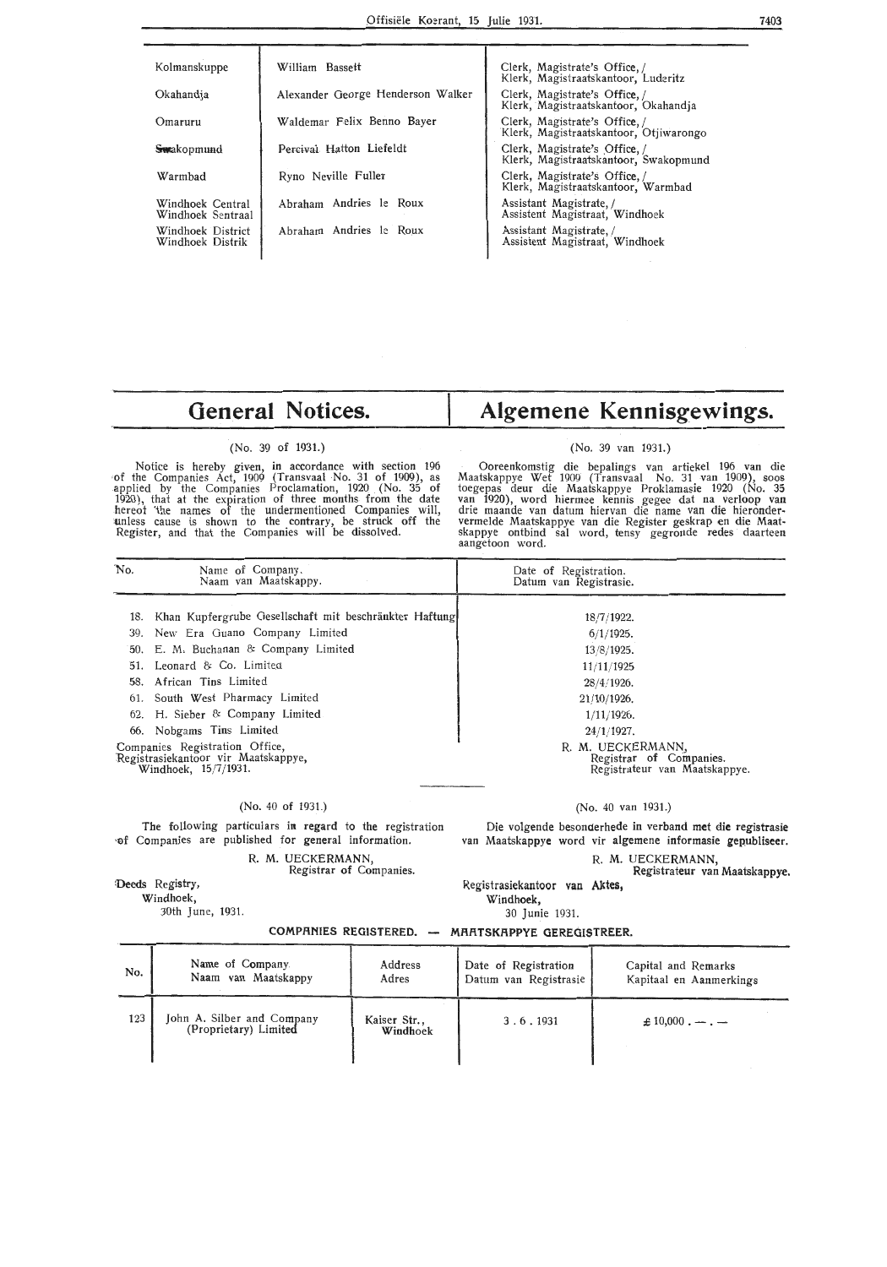| Kolmanskuppe                          | William Bassett                   | Clerk, Magistrate's Office,/<br>Klerk, Magistraatskantoor, Luderitz     |
|---------------------------------------|-----------------------------------|-------------------------------------------------------------------------|
| Okahandia                             | Alexander George Henderson Walker | Clerk, Magistrate's Office, /<br>Klerk, Magistraatskantoor, Okahandia   |
| Omaruru                               | Waldemar Felix Benno Bayer        | Clerk, Magistrate's Office, /<br>Klerk, Magistraatskantoor, Otjiwarongo |
| <del>Sw</del> akopmund                | Percival Hatton Liefeldt          | Clerk, Magistrate's Office, /<br>Klerk, Magistraatskantoor, Swakopmund  |
| Warmbad                               | Ryno Neville Fuller               | Clerk, Magistrate's Office,<br>Klerk, Magistraatskantoor, Warmbad       |
| Windhoek Central<br>Windhoek Sentraal | Abraham Andries le Roux           | Assistant Magistrate, /<br>Assistent Magistraat, Windhoek               |
| Windhoek District<br>Windhoek Distrik | Abraham Andries le Roux           | Assistant Magistrate, /<br>Assistent Magistraat, Windhoek               |
|                                       |                                   |                                                                         |

# **General Notices.**

#### (No. 39 of 1931.)

Notice is hereby given, in accordance with section 196 of the Companies Act, 1909 (Transvaal No. 31 of 1909), as applied by the Companies Proclamation, 1920 (No. 35 of 1920), that at the expiration of three months from the date hereof 'the names of the undermentioned Companies will, tinless cause is shown to the contrary, be struck off the Register, and that the Companies will be dissolved.

# **Algemene Kennisgewings.**

#### (No. 39 van 1931.)

Ooreenkomstig die bepalings van artiekel 196 . van die Maatskappye Wet 1909 (Transvaal No. 31 van 1909), soos<br>toegepas deur die Maatskappye Proklamasie 1920 (No. 35<br>van 1920), word hiermee kennis gegee dat na verloop van<br>drie maande van datum hiervan die name van die hieronder vermelde Maatskappye van die Register geskrap en die Maatskappye ontbind sal word, tensy gegronde redes daarteen aangetoon word.

| No. | Name of Company.<br>Naam van Maatskappy.                                                      | Date of Registration.<br>Datum van Registrasie.                               |
|-----|-----------------------------------------------------------------------------------------------|-------------------------------------------------------------------------------|
| 18. | Khan Kupfergrube Gesellschaft mit beschränkter Haftung                                        | 18/7/1922.                                                                    |
|     | 39. New Era Guano Company Limited                                                             | 6/1/1925.                                                                     |
|     | 50. E. M. Buchanan & Company Limited                                                          | 13/8/1925.                                                                    |
|     | 51. Leonard & Co. Limited                                                                     | 11/11/1925                                                                    |
|     | 58. African Tins Limited                                                                      | 28/4/1926.                                                                    |
|     | 61. South West Pharmacy Limited                                                               | $21/10/1926$ .                                                                |
|     | 62. H. Sieber & Company Limited                                                               | $1/11/1926$ .                                                                 |
|     | 66. Nobgams Tins Limited                                                                      | 24/1/1927.                                                                    |
|     | Companies Registration Office,<br>Registrasiekantoor vir Maatskappye,<br>Windhoek, 15/7/1931. | R. M. UECKERMANN,<br>Registrar of Companies.<br>Registrateur van Maatskappye. |

#### (No. 40 of 1931.)

The following particulars in regard to the registration **·of** Companies are published for general information.

Deeds Registry, Windhoek,

30th June, 1931.

R. M. UECKERMANN,

Registrar of Companies.

## (No. 40 van 1931.)

Die volgende besonderhede in verband met die registrasie van Maatskappye word vir algemene informasie gepubliseer.

R. M. UECKERMANN, Registrateur van Maatskappye.

Registrasiekantoor **van Aktes,**  Windhoek,

30 Junie 1931.

**COMPR.NIES REGISTERED.** - **MR.R.TSKR.PPYE GEREGISTREER.** 

| No. | Name of Company.                                    | Address                  | Date of Registration  | Capital and Remarks     |
|-----|-----------------------------------------------------|--------------------------|-----------------------|-------------------------|
|     | Naam van Maatskappy                                 | Adres                    | Datum van Registrasie | Kapitaal en Aanmerkings |
| 123 | John A. Silber and Company<br>(Proprietary) Limited | Kaiser Str.,<br>Windhoek | 3.6.1931              | $\pm 10,000$ . — . —    |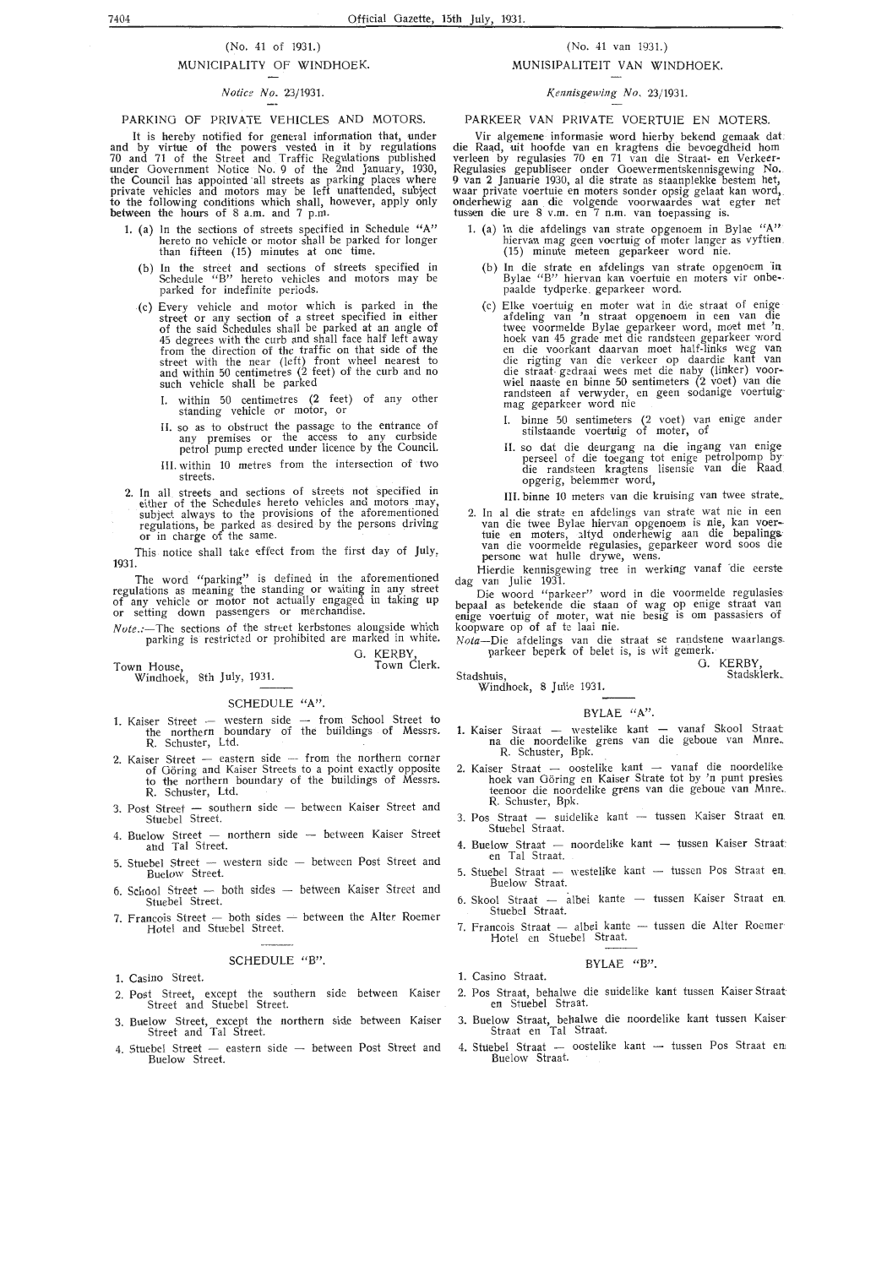#### (No. 41 of 1931.)

#### MUNICIPALITY OF WINDHOEK.

#### *Notice No.* 23/1931.

#### PARKING OF PRIVATE VEHICLES AND MOTORS.

It is hereby notified for general information that, under and by virtue of the powers vested in it by regulations 70 and 71 of the Street and Traffic Regulations published under Government Notice No. 9 of the 2nd January, 1930, the Council has appointed all streets as parking places where private vehicles and motors may be left unattended, subject to the following conditions which shall, however, apply only between the hours of 8 a.m. and 7 p.m.

- **1.** (a) In the sections of streets specified in Schedule **"A"**  hereto no vehicle or motor shall be parked for longer than fifteen (15) minutes at one time.
	- (b) In the street and sections of streets specified in Schedule "B" hereto vehicles and motors may be park,ed for indefinite periods.
	- (c) Every vehicle and motor which is parked in the street or any section of a street specified **in** either of the said Schedules shall be parked at an angle of 45 degrees with the curb and shall face half left away from the direction of the traffic on that side of the street with the near (left) front wheel nearest to and within 50 centimetres (2 feet) of the curb and no<br>such vehicle shall be parked
		- I. within 50 centimetres (2 feet) of any other standing vehicle or motor, or
		- 11. so as to obstruct the passage to the entrance of any premises or the access to any curbside petrol pump erected under licence by the Council.
		- **Ill.** within 10 metres from the intersection of two streets.
- 2. In all streets and sections of streets not specified in either of the Schedules hereto vehicles and motors may, subject always to the provisions of the aforementioned regulations, be parked as desired by the persons driving or in charge of the same.

This notice shall take effect from the first day of July, 1931.

The word "parking" is defined in the aforementioned regulations as meaning the standing or waiting in any street of any vehicle or motor not actually engaged in taking up or setting down passengers or merchandise.

*Nute.*:—The sections of the street kerbstones alongside which parking is restricted or prohibited are marked in white. G. KERBY

Town Clerk.

#### SCHEDULE **"A".**

- 1. Kaiser Street western side from School Street to the northern boundary of the buildings of Messrs. **R.** Schuster, Ltd.
- 2. **Kaiser Street eastern side from the northern corner** of Göring and Kaiser Streets to a point exactly opposite to the northern boundary of the buildings of Messrs. R. Schuster, Ltd.
- 3. Post Street southern side between Kaiser Street and Stuebel Street.
- 4. Buelow Street northern side between Kaiser Street and Tai Street.
- 5. Stuebel Street western side between Post Street and Buelow Street.
- 6. School Street both sides between Kaiser Street and Stuebe! Street.
- 7. Francois Street  $-$  both sides  $-$  between the Alter Roemer Hotel and Stuebe! Street.

#### SCHEDULE **"B".**

**1.** Casino Street.

Town House,

Windhoek, 8th July, 1931.

- 2. Post Street, except the southern side between Kaiser Street and Stuebe! Street.
- 3. Buelow Street, except the northern side between Kaiser Street and Tai Street.
- 4. Stuebel Street  $-$  eastern side  $-$  between Post Street and Buelow Street.

#### (No. 41 van 1931.) MUNISIPALITEIT VAN WINDHOEK.

## *Kennisgewing No.* 23/ 1931.

#### PARKEER VAN PRIVATE VOERTUIE EN MOTERS.

Vir algemene informasie word hierby bekend gemaak dat die Raad, uit hoofde van en kragtens die bevoegdheid hom verleen by regulasies 70 en 71 van die Straat- en Verkeer-Regulasies gepubliseer onder Goewermentskennisgewing No. 9 van 2 Januarte 1930, al die strate as staanplekke bestem het, waar private voertuie en moters sonder opsig gelaat kan word, onderhewig aan die volgende voorwaardes wat egter net tussen die ure 8 v.m. en 7 n.m. van toepassing is.

- 1. (a) In die afdelings van strate opgenoem in Bylae "A"<br>hiervan mag geen voertuig of moter langer as vyftien (15) minute meteen geparkeer word nie.
	- (b) In die strate en afdelings van strate opgenoem 'in Bylae "B" hiervan kan voertuie en moters vir onbe-.<br>paalde tydperke geparkeer word.
	- (c) Elke voertuig en moter wat in die straat of enige afdeling van 'n straat opgenoem in een van die twee voormelde Bylae geparkeer word, moet met 'n.<br>hoek van 45 grade met die randsteen geparkeer word<br>en die voorkant daarvan moet half-links weg van<br>die rigting van die verkeer op daardie kant van<br>die straat gedraai wees m randsteen af verwyder, en geen sodanige voertuig· mag geparkeer word nie
		- I. binne 50 sentimeters (2 voet) van enige ander stilstaande voertuig of moter, of
		- II. so dat die deurgang na die ingang van enige perseel of die toegang tot enige petrolpomp by· die randsteen kragtens lisensie van die Raad\_ opgerig, belemmer word,
		- III. binne 10 meters van die kruising van twee strate.
- 2. In al die strate en afdelings van strate wat nie in een<br>van die twee Bylae hiervan opgenoem is nie, kan voer-<br>tuie en moters, altyd onderhewig aan die bepalings<br>van die voormelde regulasies, geparkeer word soos die persone wat hulle drywe, wens.

Hierdie kennisgewing tree in werking vanaf 'die eerste dag van Julie 1931.

Die woord "parkcer" word in die voormelde regulasies bepaal as betekende die staan of wag op enige straat van enige voertuig of moter, wat nie besig is om passasiers of koopware op of af te laai nie.

*Nata-Die* afdelings van die straat se randstene waarlangs. parkeer beperk of belet is, is wit gemerk.

G. KERBY Stadsklerk.

#### Stadshuis, Windhoek, 8 Julie 1931.

#### BYLAE "A".

- 1. Kaiser Straat westelike kant vanaf Skool Straat na die noordelike grens van die geboue van Mnre, R. Schuster, Bpk.
- 2. Kaiser Straat oostelike kant vanaf die noordelike hoek van Göring en Kaiser Strate tot by 'n punt presies teenoor die noordelike grens van die geboue van Mnre. R. Schuster, Bpk.
- 3. Pos Straat suidelike kant tussen Kaiser Straat en. Stuebe! Straat.
- 4. Buelow Straat noordelike kant tussen Kaiser Straat:<br>en Tal Straat.
- 5. Stuebel Straat westelike kant tussen Pos Straat en.<br>Buelow Straat.
- 6. Skool Straat albei kante tussen Kaiser Straat en. Stuebe! Straat.
- 7. Francois Straat albei kante -- tussen die Alter Roemer<br>Hotel en Stuebel Straat.

#### BYLAE "B".

- 1. Casino Straat.
- 2. Pos Straat, behalwe die suidelike kant tussen Kaiser Straat en Stuebe! Straat.
- 3. Buelow Straat, behalwe die noordelike kant tussen Kaiser Straat en Tai Straat.
- 4. Stuebel Straat oostelike kant tussen Pos Straat en Buelow Straat.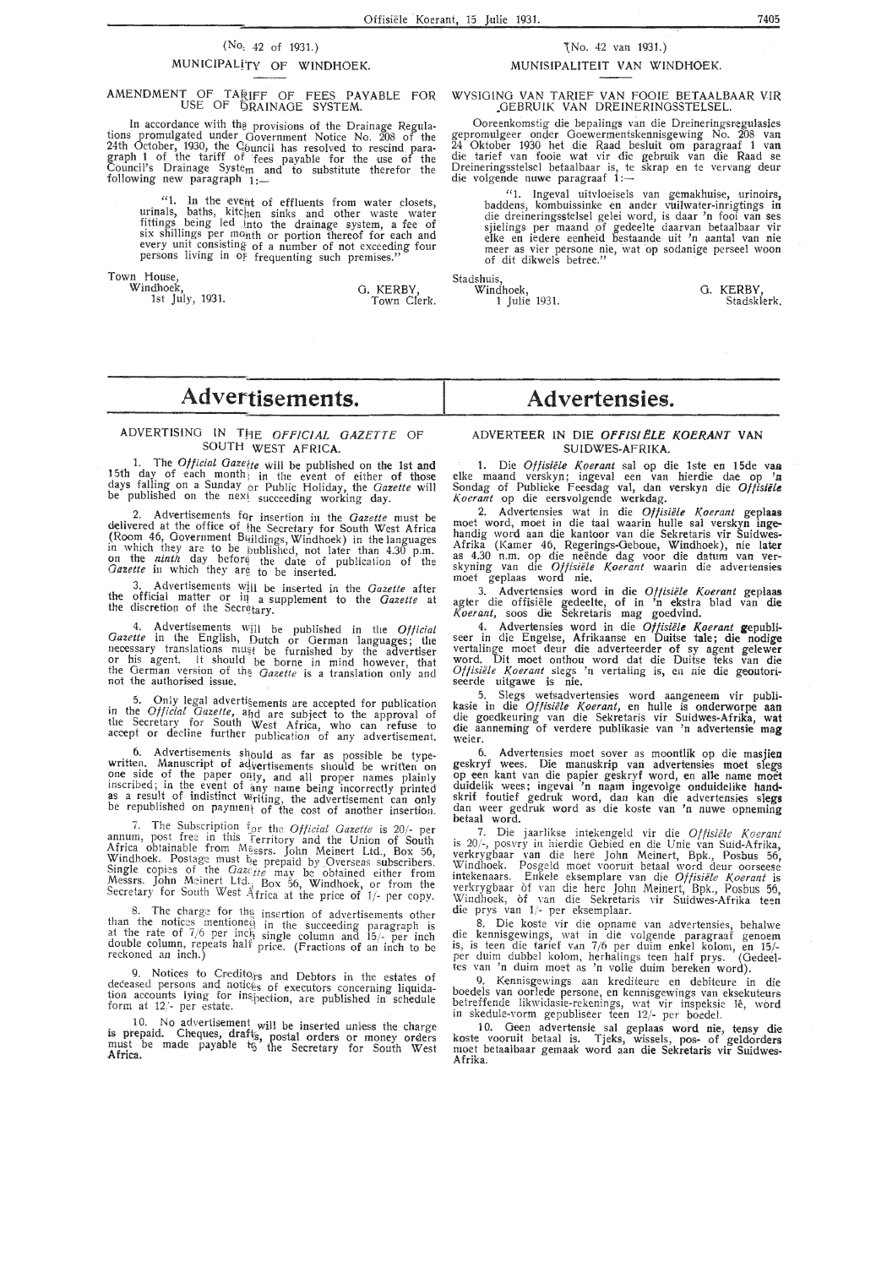## (No, 42 of 1931.) MUNICIPALITY OF WINDHOEK.

#### AMENDMENT OF TARIFF OF FEES PAYABLE FOR USE OF QRAINAOE SYSTEM.

. In accordance with th§ provisions of the Drainage Regulations promulgated under Government Notice No. 208 of the<br>24th October, 1930, the C<sub>l</sub>ouncil has resolved to rescind paragraph 1 of the tariff of fees payable for the use of the Council's Drainage Syste<sub>m</sub> and to substitute therefor the following new paragraph  $1:-$ 

"1. In the event of effluents from water closets, urinals, baths, kitchen sinks and other waste water fittings being led into the drainage system, a fee of six shillings per month or portion thereof for each and every unit consisting of a number of not exceeding four persons living in Of frequenting such premises."

Town House, Stadshuis, Stadshuis, Windhoek,

1st July, 1931.

0. KERBY, Windhoek, 0. KERBY,

## "tNo. 42 van 1931.) MUNISIPALITEIT VAN WINDHOEK.

WYSIOINO VAN TARIEF VAN FOOIE BETAALBAAR VIR .OEBRUIK VAN DREINERINOSSTELSEL.

Ooreenkomstig die bepalings van die Dreineringsregulasies gepromulgeer onder Goewermentskennisgewing No. 208 van<br>24 Oktober 1930 het die Raad besluit om paragraaf 1 van<br>die tarief van fooie wat vir die gebruik van die Raad se<br>Dreineringsstelsel betaalbaar is, te skrap en te verva Dreineringsstelsel betaalbaar is, te<br>die volgende nuwe paragraaf 1:-

"1. Ingeval uitvloeisels van gemakhuise, urinoirs, baddens, kombuissinke en ander vuilwater-inrigtings in die dreineringsstelsel gelei word, is daar 'n fooi van ses<br>sjielings per maand of gedeelte daarvan betaalbaar vir elke en iedere eenheid bestaande uit 'n aantal van nie meer as vier persone nie, wat op sodanige perseel woon of dit dikwels betree."

Town Clerk. 1 Julie 1931. Stadskierk.

# **Advertisements.**

#### ADVERTISING IN THE *OFFICIAL GAZETTE* OF SOUTH WEST AFRICA.

1. The *Oflicial Gazette* will be published on the 1st and 15th day of each month; in the event of either of those days fal)ing on a Sunday br Public Holiday, the *Gazette* will be published on the next succeeding working day.

2. Advertisements fqr insertion in the *Gazette* must be delivered at the office of fhe Secretary for South West Africa (Room 46, Government Buildings, Windhoek) in the languages<br>in which they are to be bublished, not later than 4.30 p.m.<br>on the *ninth* day before the date of publication of the *Gazette* in which they are to be inserted.

3. Advertisements will be inserted in the *Gazette* after<br>the official matter or in a supplement to the *Gazette* at<br>the discretion of the Secr<sub>otary</sub>.

4. Advertisements will be published in the *Official* Gazette in the English, Dutch or German languages; the necessary translations must be furnished by the advertiser or his agent. It should be borne in mind however, that the German version of the *Gazette* is a translation only and not the authorised issue.

. 5. On\_l~ legal advertisements are accepted for publication m the *OfflClal Gazette,* and are subject *to* the approval of the Secretary \_for South West Africa, who can refuse to accept or decline further publication of any advertisement.

b. Advertisements slibuld as far as possible be type-<br>written. Manuscript of advertisements should be written on<br>one side of the paper only, and all proper names plainly inscribed; in the event of any name being incorrectly printed<br>as a result of indistinct writing, the advertisement can only be republished on payment of the cost of another insertion.

7. The Subscriptip~ f\_b r the *Official Gazette* is 20/- per annum, post free in this ferritory and the Union of South Africa obtainable from Messrs. John Meinert Ltd., Box 56, Windhoek. Postage must be prepaid by Overseas subscribers. Single copies of the *Gazette* may be obtained either from Messrs. John Meinert Ltd., Box 56, Windhoek, or from the Secretary for South West Africa at the price of 1/- per copy.

8. The charge for the insertion of advertisements other than the notices mentioned in the succeeding paragraph is at the rate of 7/6 per inch single column and 15/- per inch double column, repeats half price. (Fractions of an inch to be reckoned an inch.)

9. Notices to Credito<sub>rs</sub> and Debtors in the estates of  $\alpha$  deceased persons and notic $\epsilon$ <sub>s</sub> of executors concerning liquidation accounts lying for inspection, are published in schedule form at  $12/-$  per estate.

l 0. No advertisement will be inserted unless the cha rge is prepaid. Cheques, drafts, postal orders or money orders must be made payable to the Secretary for South West Africa.

# **Advertensies.**

#### ADVERTEER IN DIE **OFFIS!ELE KOERANT VAN**  SUIDWES-AFRIKA.

1. Die *Offisiele Koe rant* sal op die **1** ste en 15de van elke maand verskyn; ingeval een van hierdie dae op *'a*  Sondag of Publieke Feesdag val, dan verskyn die **Offisiete,**  *Koerant* op die eersvolgende werkdag.

2. Advertensies wat in die *Oftisiele Koerant* **geplaas**  moet word, moet in die taal waarin hulle sal verskyn **inge**handig word aan die kantoor van die Sekretaris vir Suidwes-Afrika (Kamer 46, Regerings-Oeboue, Windhoek), nie **later** as 4.30 n.m. op die neende dag voor die datum van ver- skyning van die *Offisiele Koerant* waarin die advertensies moet geplaas word nie.

3. Advertensies word in die Offisiële Koerant geplaas agter die offisiele gedeelte, of in 'n ekstra blad van **die**  *Koerant,* soos die Sekretaris mag goedvind.

4. Advertensies word in die *Offisiele Koerant* **gepubli-** seer in die Engelse, Afrikaanse en Duitse tale; die nodige vertalinge meet deur die adverteerder of sy agent gelewer word. Dit moet onthou word dat die Duitse teks van **die**  *Of fisiiile Koerant* slegs 'n vertaling is, en nie die geoutori-seerde uitgawe is nie.

5. Slegs wetsadvertensies word aangeneem vir publikasie in die *Offisiële Koerant*, en hulle is onderworpe aan die goedkeuring van die Sekretaris vir Suidwes-Afrika, **wat**  die aanneming of verdere publikasie van 'n advertensie **mag**  weier.

6. Advertensies moet sover as moontlik op die masjien geskryf wees. Die manuskrip van advertehsies moet slegs op een kant van die papier geskryf word, en alle name moet duidelik wees; ingeval 'n naam ingevolge onduidelike handskrif foutief gedruk word, dan kan die advertensies **slegs**  dan weer gedruk word as die koste van 'n nuwe opneming betaal word.

7. Die jaarlikse intekengeld vir die *Offisiele Koerant*  is 20/-, posvry in hierdie Oebied en die Unie van Suid-Afrika, verkrygbaar van die here John Meinert, Bpk., Posbus 56, Windhoek. Posge!d moet vooruit betaal word cleur oorseese intekenaars. Enke!e eksemplare van die *Of fisiele K oerant* is verkrygbaar of van die here John Meinert, Bpk., Posbus 56, Windhoek, òf van die Sekretaris vir Suidwes-Afrika teen<br>die prys van 1/- per eksemplaar.

8. Die koste vir die opname van advertensies, behalwe die kennisgewings, wat in die volgende paragraaf genoem is, is teen die tarief Vdn 7 /6 per duim enkel kolom, en 15/- per duim dubbel kolom, herhalings teen half prys. (Oedeeltes van 'n duim moet as 'n volie duim bereken word).

9. Kennisgewings aan krediteure en debiteure in die boedels van oorlede persone, en kennisgewings van eksekuteurs betreffende likwidasie-rekenings, wat vir inspeksie le, word in skedule-vorm gepubliseer teen 12/- per boedel.

10. Geen advertensie sal geplaas word nie, tensy die koste vooruit betaal is. Tjeks, wissels, pos- of geldorders moet betaalbaar gemaak word aan die Sekretaris vir Suidwes-Afrika.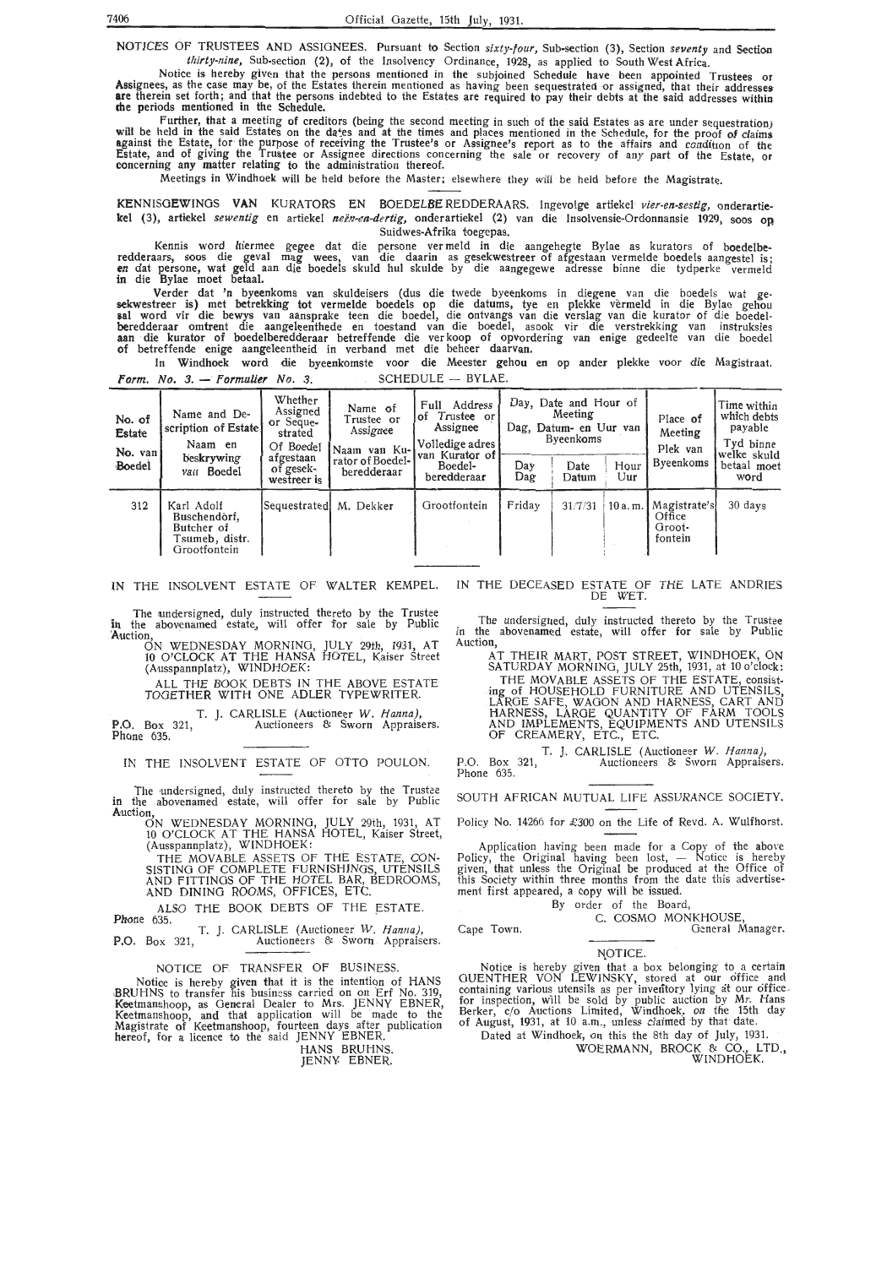NOTICES OF TRUSTEES AND ASSIGNEES. Pursuant to Section *sixty-four,* Sub-section (3), Section *seventy* and Section *thirty-nine,* Sub-section (2), of the Insolvency Ordinance, 1928, as applied to South West Africa.

Notice is hereby given that the persons mentioned in the subjoined Schedule have been appointed Trustees or<br>Assignees, as the case may be, of the Estates therein mentioned as having been sequestrated or assigned, that thei

Further, that a meeting of creditors (being the second meeting in such of the said Estates as are under sequestration) will be held in the said Estates on the da\*es and at the times and places mentioned in the Schedule, for the proof of claims against the Estate, for the purpose of receiving the Trustee's or Assignee's report as to the affairs and condition of the<br>Estate, and of giving the Trustee or Assignee directions concerning the sale or recovery of any par

Meetings in Windhoek will be held before the Master; elsewhere they will be held before the Magistrate.

KENNISGEWINGS **VAN** KURATORS EN BOEDELBE REDDERAARS. Ingevolge artiekel *vier-en-sestig,* onderartie• kel (3), artiekel sewentig en artiekel neën-en-dertig, onderartiekel (2) van die Insolvensie-Ordonnansie 1929, soos op Suidwes-Afrika toegepas.

Kennis word hiermee gegee dat die persone ver meld in die aangehegte Bylae as kurators of boedelberedderaars, soos die geval mag wees, van die daarin as gesekwestreer of afgestaan vermelde boedels aangestel is; **en** dat persone, wat geld aan die boedels skuld hul skulde by die aangegewe adresse binne die tydperke verme!d in die Bylae moet betaal.

Verder dat 'n byeenkoms van skuldeisers (dus die twede byeenkoms in diegene van die boedels wat gesekwestreer is) met betrekking tot vermelde boedels op die datums, tye en plekke vermeld in die Bylac gehou **&al** word vir die bewys van aansprake teen die boedel, die ontvangs van die verslag van die kurator of die boedelberedderaar omtrent die aangeleenthede en toestand van die boedel, asook vir die verstrekking van instruksies **aan** die kurator of boedelberedderaar betreffende die ver koop of opvordering van enige gedeelte van die boedel **of** betreffende enige aangeleentheid in verband met die beheer daarvan.

In Windhoek word die byeenkomste voor die Meester gehou en op ander plekke voor die Magistraat. Form. No.  $3.$  - Formulier No. 3. SCHEDULE - BYLAE.

| No. of<br>Estate<br>No. van | Name and De-<br>scription of Estate<br>Naam en                                                       | Whether<br>Assigned<br>or Seque-<br>strated<br>Of Boedel | Name of<br>Trustee or<br>Assignee<br>Naam van Ku-l | Address<br>Full<br>Trustee or<br>l of<br>Assignee<br>Volledige adres<br> van Kurator of | Day, Date and Hour of<br>Meeting<br>Dag, Datum- en Uur van<br>Byeenkoms |         |  | Place of<br>Meeting<br>Plek van<br>Byeenkoms         | Time within<br>which debts<br>payable<br>Tyd binne<br>welke skuld<br>betaal moet<br>word |
|-----------------------------|------------------------------------------------------------------------------------------------------|----------------------------------------------------------|----------------------------------------------------|-----------------------------------------------------------------------------------------|-------------------------------------------------------------------------|---------|--|------------------------------------------------------|------------------------------------------------------------------------------------------|
| Boedel                      | beskrywing<br>afgestaan<br>rator of Boedel-<br>of gesek-<br>van Boedel<br>beredderaar<br>westreer is | Boedel-<br>beredderaar                                   | Day<br>Dag                                         | Date<br>Datum                                                                           | Hour<br>Uur                                                             |         |  |                                                      |                                                                                          |
| 312                         | Karl Adolf<br>Buschendorf,<br>Butcher of<br>Tsumeb, distr.<br>Grootfontein                           | Sequestrated M. Dekker                                   |                                                    | Grootfontein                                                                            | Friday                                                                  | 31/7/31 |  | $10a.m.$ Magistrate's<br>Office<br>Groot-<br>fontein | 30 days                                                                                  |

IN THE INSOLVENT ESTATE OF WALTER KEMPEL.

The undersigned, duly instructed thereto by the Trustee<br>in the abovenamed estate, will offer for sale by Public<br>'Auction.

10 O'CLOCK AT THE HANSA HOTEL, Kaiser Street (Ausspannplatz), WINDHOEK:\_

ALL THE BOOK DEBTS IN THE ABOVE ESTATE TOGETHER WITH ONE ADLER TYPEWRITER.

T. J. CARLISLE (Auctioneer W. Hanna) **P.O.** Box 321, Auctioneers & Sworn Appraisers. Phone 635.

IN THE INSOLVENT ESTATE OF OTTO POULON.

The undersigned, duly instructed thereto by the Trustee in the abovenamed estate, will offer for sale by Public Auction,

ON WEDNESDAY MORNING, JULY 29th, 1931, AT 10 O'CLOCK AT THE HANSA HOTEL, Kaiser Street, (Ausspannplatz), WINDHOEK:

THE MOVABLE ASSETS OF THE ESTATE, CON- SISTING OF COMPLETE FURNISHINGS, UTENSILS AND FITTINGS Of THE HOTEL BAR, BEDROOMS, AND DINING ROOMS, OFFICES, ETC.

ALSO THE BOOK DEBTS OF THE ESTATE. Phone 635.

T. *].* CARLISLE (Auctioneer W. Hanna), **P.O.** Box 321, Auctioneers & Sworn Appraisers.

NOTICE OF TRANSFER Of BUSINESS.

Notice is hereby given that it is the intention of HANS BRUHNS to transfer his business carried on on Erf No. 319, Keetmanshoop, as General Dealer to Mrs. JENNY EBNER, Keetmanshoop, and that application will be made to the Magistrate of Keetmanshoop, fourteen days after publication hereof, for a licence to the said JENNY EBNER.

HANS BRUHNS.

JENNY. EBNER.

IN THE DECEASED ESTATE OF THE LATE ANDRIES DE WET.

The undersigned, duly instructed thereto by the Trustee in the abovenamed estate, will offer for sale by Public Auction,

AT THEIR MART, POST STREET, WINDHOEK, ON SA TU RDA Y MORNING, JULY 25th, 1931, at 10 o'clock: THE MOVABLE ASSETS OF THE ESTATE, consisting of HOUSEHOLD FURNITURE AND UTENSILS, LARGE SAFE, WAGON AND HARNESS, CART AND HARNESS, LARGE QUANTITY OF FARM TOOLS AND IMPLEMENTS, EQUIPMENTS AND UTENSILS OF CREAMERY, ETC., ETC.

P.O. Box 321, Phone 635. T. J. CARLISLE (Auctioneer W. Hanna), Auctioneers & Sworn Appraisers.

SOUTH AFRICAN MUTUAL LIFE ASSURANCE SOCIETY.

Policy No. 14266 for £300 on the Life of Revd. A. Wulfhorst.

Application having been made for a Copy of the above Policy, the Original having been lost,  $-$  Notice is hereby given, that unless the Original be produced at the Office of this Society within three months from the date this advertise-<br>ment first appeared, a copy will be issued.

By order of the Board,

C. COSMO MONKHOUSE

Cape Town. General Manager.

NOTICE.

Notice is hereby given that a box belonging to a certain GUENTHER VON LEWINSKY, stored at our office and containing various utensils as per inventory lying at our office<br>for inspection, will be sold by public auction by Mr. Hans Berker, c/o Auctions Limited, Windhoek, on the 15th day of August, 1931, at 10. a.m., unless claimed by that· date .

Dated at Windhoek, on this the 8th day of July, 1931. WOERMANN, BROCK & CO., LTD., WOERMANN, BROCK & CO., LTD.,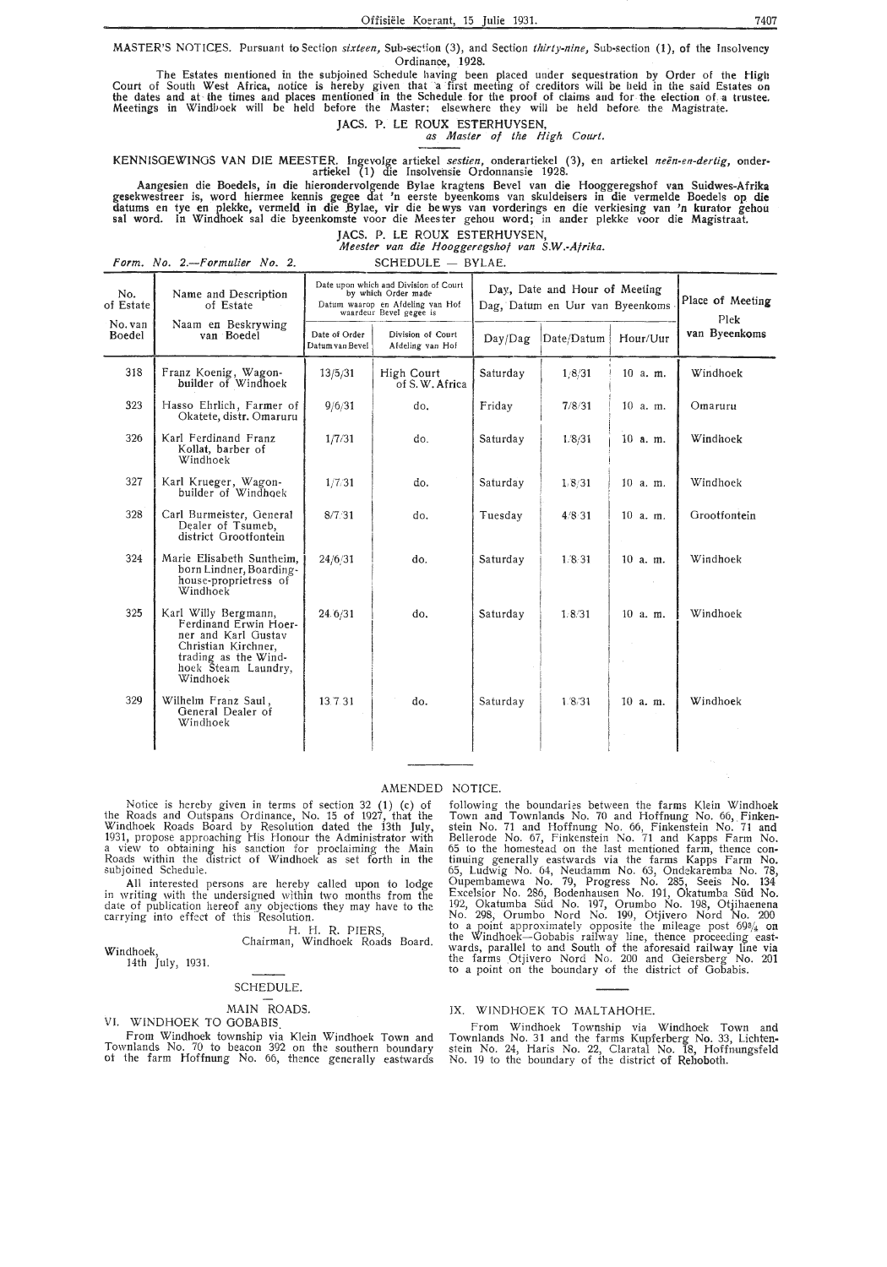MASTER'S NOTICES. Pursuant to Section *sixteen*, Sub-section (3), and Section *thirty-nine*, Sub-section (1), of the Insolvency Ordinance, 1928.

The Estates mentioned in the subjoined Schedule having been placed under sequestration by Order of the High Court of South West Africa, notice is hereby given that a first meeting of creditors will be held in the said Estates on<br>the dates and at the times and places mentioned in the Schedule for the proof of claims and for the e Meetings in Windl>oek will be held before the Master: elsewhere they will be held before. the Magistrate.

JACS. P. LE ROUX ESTERHUYSEN, *as Master of the High Court.* 

KENNISGEWINOS VAN DIE MEESTER. lngevolge artiekel *sestien,* onderartiekel ('3), en artiekel *neen-en-dertig,* onderartiekel (1) die Insolvehsie Ordonnansie 1928.

Aangesien die Boedels, in die hierondervolgende Bylae kragtens Bevel van die Hooggeregshof van Suidwes-Afrika<br>gesekwestreer is, word hiermee kennis gegee dat 'n eerste byeenkoms van skuldeisers in die vermelde Boedels op datums en tye en plekke, vermeld in die Bylae, vir die bewys van vorderings en die verkiesing van 'n kurator gehou sal word. In Windhoek sal die byeenkomste voor die Meester gehou word; in ander plekke voor die Magistraat.

JACS. P. LE ROUX ESTERHUYSEN, *Meester van . die Hooggeregshof van S.W.-Afrika.* 

*Form. No. 2.--Formulier No. 2.* SCHEDULE - BYLAE.

| No.<br>of Estate  | Name and Description<br>of Estate                                                                                                                      | Date upon which and Division of Court<br>by which Order made<br>Datum waarop en Afdeling van Hof<br>waardeur Bevel gegee is |                                       | Day, Date and Hour of Meeting<br>Dag, Datum en Uur van Byeenkoms | Place of Meeting<br>Plek |            |               |
|-------------------|--------------------------------------------------------------------------------------------------------------------------------------------------------|-----------------------------------------------------------------------------------------------------------------------------|---------------------------------------|------------------------------------------------------------------|--------------------------|------------|---------------|
| No. van<br>Boedel | Naam en Beskrywing<br>van Boedel                                                                                                                       | Date of Order<br>Datum van Bevel                                                                                            | Division of Court<br>Afdeling van Hof | Day/Dag                                                          | Date/Datum               | Hour/Uur   | van Byeenkoms |
| 318               | Franz Koenig, Wagon-<br>builder of Windhoek                                                                                                            | 13/5/31                                                                                                                     | High Court<br>of S.W. Africa          | Saturday                                                         | 1,8/31                   | 10 a. m.   | Windhoek      |
| 323               | Hasso Ehrlich, Farmer of<br>Okatete, distr. Omaruru                                                                                                    | 9/6/31                                                                                                                      | do.                                   | Friday                                                           | 7/8/31                   | $10a$ . m. | Omaruru       |
| 326               | Karl Ferdinand Franz<br>Kollat, barber of<br>Windhoek                                                                                                  | 1/7/31                                                                                                                      | do.                                   | Saturday                                                         | 1/8/31                   | $10$ a.m.  | Windhoek      |
| 327               | Karl Krueger, Wagon-<br>builder of Windhoek                                                                                                            | 1/7/31                                                                                                                      | do.                                   | Saturday                                                         | 1.8/31                   | 10 a. m.   | Windhoek      |
| 328               | Carl Burmeister, General<br>Dealer of Tsumeb,<br>district Grootfontein                                                                                 | 8/7.31                                                                                                                      | đ٥.                                   | Tuesday                                                          | 4/8.31                   | $10$ a. m. | Grootfontein  |
| 324               | Marie Elisabeth Suntheim,<br>born Lindner, Boarding-<br>house-proprietress of<br>Windhoek                                                              | 24/6/31                                                                                                                     | do.                                   | Saturday                                                         | 1/8.31                   | 10 a.m.    | Windhoek      |
| 325               | Karl Willy Bergmann,<br>Ferdinand Erwin Hoer-<br>ner and Karl Gustav<br>Christian Kirchner,<br>trading as the Wind-<br>hoek Steam Laundry,<br>Windhoek | 24.6/31                                                                                                                     | do.                                   | Saturday                                                         | 1/8/31                   | $10$ a.m.  | Windhoek      |
| 329               | Wilhelm Franz Saul,<br>General Dealer of<br>Windhoek                                                                                                   | 13.7.31                                                                                                                     | do.                                   | Saturday                                                         | 1.8.31                   | 10 a.m.    | Windhoek      |

AMENDED NOTICE.<br>
Notice is hereby given in terms of section 32 (1) (c) of following<br>
the Roads and Outspans Ordinance, No. 15 of 1927, that the Town and<br>
Windhoek Roads Board by Resolution dated the 13th July, stein No.<br>
1 the Roads and Outspans Ordinance, No. 15 of 1927, that the Town and Townlands No. 70 and Hoffoung No. 66,. Finken-Windhoek Roads Board by Resolution dated the 13th July, stein No. 71 and lioffnung No. 66, Finkenstein No. 71 and 1931, propose approaching His Honour the Administrator with Bellerode No. 67, Finkenstein No. 71 and Kapps Farm No.<br>a view to obtaining his sanction for proclaiming the Main 65 to the homestead on the last mentioned farm,

Windhoek, 14th July, 1931.

#### SCHEDULE.

From Windhoek township via Klein Windhoek Town and Townlands No. 70 to beacon 392 on the southern boundary<br>of the farm Hoffnung No. 66, thence generally eastwards

Notice is hereby given in terms of section 32 (1) (c) of following the boundaries between the farms Klein Windhoek subjoined Schedule. 65, Ludwig No. 64, Neudamm No. 63, Ondekaremba No. 78, All interested persons are hereby called upon to lodge Qupembamewa No. 79, Progress No. 285, Seeis No. 134 in writing with the undersigned within two months from the Éxcelsior No. 286, Bodenhausen No. 191, Okatumba Süd No.<br>date of publication hereof any objections they may have to the 192, Okatumba Süd No. 197, Orumbo No. 198, carrying into effect of this Resolution. No. 298, Orumbo Nord No. 199, Otjivero Nord No. 200 H. H. R. PIERS, to a point approximately opposite the mileage post 693/4 on<br>Chairman, Windhoek Roads Board. wards, parallel to and South of the aforesaid railway line via the farms .Otjivero Nord No. 200 and Geiersberg No. 201 to a point on the boundary of the district of Gobabis.

# MAIN ROADS. IX. WINDHOEK TO MALTAHOHE.<br>VI. WINDHOEK TO GOBABIS. From Windhoek Township win

VI. WINDHOEK TO GOBABIS.<br>From Windhoek Township via Windhoek Town and Townlands No. 31 and the farms Kupferberg No. 33, Lichten- stein No. 24, Haris No. 22, Claratal No. 18, Hoffnungsfeld No. 19 to the boundary of the district of Rehoboth.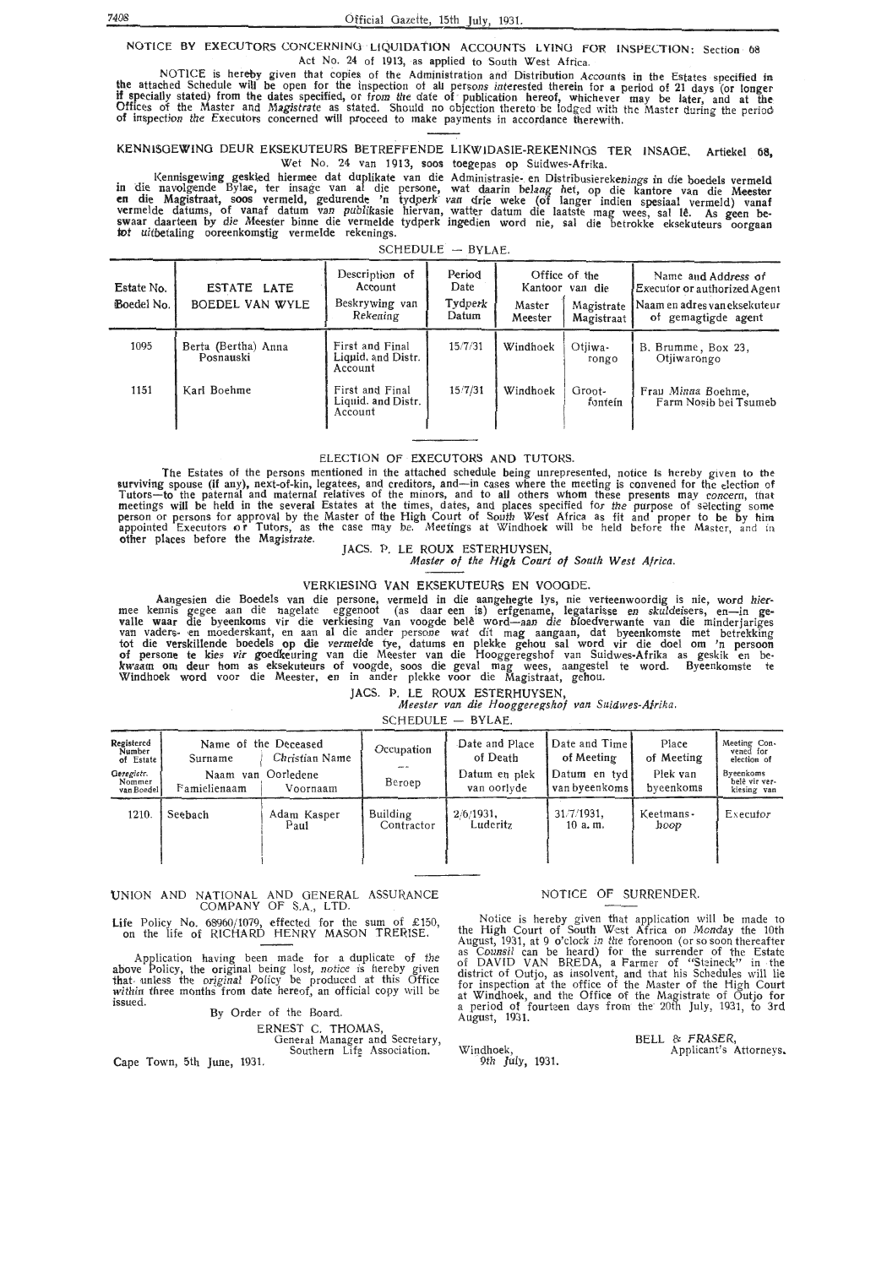NOTICE BY EXECUTORS CONCERNING LIQUIDATION ACCOUNTS LYING FOR INSPECTION: Section 68 Act No. 24 of 1913, as applied to South West Africa.

NOTICE is hereby given that copies of the Administration and Distribution Accounts in the Estates specified in the attached Schedule will be open for the inspection of all persons interested therein for a period of 21 days (or longer<br>If specially stated) from the dates specified, or from the date of publication hereof, whichever ma Offices of the Master and Magistrate as stated. Should no objection thereto be lodged with the Master during the period of inspection the Executors concerned will proceed to make payments in accordance therewith.

#### KENN15GEWING DEUR EKSEKUTEURS BETREFFENDE LIKWIDASIE-REKENlNOS TER INSAOE. Artiekel **68,**  Wet No. 24 van 1913, soos toegepas op Suidwes-Afrika.

kennisgewing geskied hiermee dat duplikate van die Administrasie en Distribusierekenings in die boedels vermeld<br>In die navolgende Bylae, ter insage van al die persone, wat daarin belang het, op die kantore van die Meester **en die Magistraat, soos vermeld, gedurende 'n tydperk van drie weke (of langer indien spesiaal vermeld) vanaf** vermelde datums, of vanaf datum van publikasie hiervan, watter datum die laatste mag wees, sal lê. As geen be-<br>swaar daarteen by die Meester binne die vermelde tydperk ingedien word nie, sal die betrokke eksekuteurs oorgaa

#### $SCHEDULE - BYLAE.$

| Estate No.<br>Boedel No. | ESTATE LATE<br>BOEDEL VAN WYLE   | Description of<br>Account<br>Beskrywing van<br>Rekening | Period<br>Date<br>Tydperk<br>Datum | Office of the<br>Kantoor van die<br>Master<br>Magistrate<br>Meester<br>Magistraat |                   | Name and Address of<br>Executor or authorized Agent<br>Naam en adres van eksekuteur<br>of gemagtigde agent |
|--------------------------|----------------------------------|---------------------------------------------------------|------------------------------------|-----------------------------------------------------------------------------------|-------------------|------------------------------------------------------------------------------------------------------------|
| 1095                     | Berta (Bertha) Anna<br>Posnauski | First and Final<br>Liquid, and Distr.<br>Account        | 15/7/31                            | Windhoek                                                                          | Otiiwa-<br>rongo  | B. Brumme, Box 23,<br>Otjiwarongo                                                                          |
| 1151                     | Karl Boehme                      | First and Final<br>Liquid. and Distr.<br>Account        | 15/7/31                            | Windhoek                                                                          | Groot-<br>fontein | Frau Minna Boehme,<br>Farm Nosib bei Tsumeb                                                                |

#### ELECTION OF EXECUTORS AND TUTORS.

The Estates of the persons mentioned in the attached schedule being unrepresented, notice is hereby given to the &urviving spouse (if any), next-of-kin, legatees, and creditors, and-in cases where the meeting is convened for the dection of Tutors-to the paternal and maternal relatives of the minors, and to all others whom these presents may concern, that meetings will be held in the several Estates at the times, dates, and places specified for the purpose of selecting some<br>person or persons for approval by the Master of the High Court of South West Africa as fit and proper appointed Executors or Tutors, as the case may be. Meetings at Windhoek will be held before the Master, and in other places before the Magistrate.

#### JACS. P. LE ROUX ESTERHUYSEN, *Master of the High Court of South West Africa.*

#### VERKIESINO VAN EKSEKUTEURS EN VOOGDE.

Aangesien die Boedels van die persone, vermeld in die aangehegte lys, nie verteenwoordig is nie, word hier-<br>• mee kennis gegee aan die nagelate eggenoot (as daar een is) erfgename, legatarisse en skuldeisers, en—in gevalle waar die byeenkoms vir die verkiesing van voogde belê word—aan die bloedverwante van die minderjariges<br>van vaders- en moederskant, en aan al die ander persone wat dit mag aangaan, dat byeenkomste met betrekking tot die verskillende boedels op die vermelde tye, datums en plekke gehou sal word vir die doe! om 'n persoon **of** persone te kies vir goedkeuring van die Meester van die Hooggeregshof van Suidwes-Afrika as geskik en bekwaam om deur horn as eksekuteurs of voogde, soos die geval mag wees, aangestel te word. Byeenkomste te Windhoek word voor die Meester, en in antler plekke voor die Magistraat, gehou.

#### JACS. P. LE **ROUX** ESTERHUYSEN,

*Meester van die Hooggeregshof van Suidwes-Afrika.* 

| Registered<br>Number<br>of Estate<br>Geregistr.<br>Nommer<br>van Boedel | Surname<br>Famielienaam | Name of the Deceased<br>Christian Name<br>Naam van Oorledene<br>Voornaam | Occupation<br>Beroep   | Date and Place<br>of Death<br>Datum en plek<br>van oorlyde | Date and Time<br>of Meeting<br>Datum en tyd!<br>van byeenkoms | Place<br>of Meeting<br>Plek van<br>byeenkoms | Meeting Con-<br>vened for<br>election of<br>Byeenkoms<br>belê vir ver-<br>kiesing van |
|-------------------------------------------------------------------------|-------------------------|--------------------------------------------------------------------------|------------------------|------------------------------------------------------------|---------------------------------------------------------------|----------------------------------------------|---------------------------------------------------------------------------------------|
| 1210.                                                                   | Seebach                 | Adam Kasper<br>Paul                                                      | Building<br>Contractor | $2/6/1931$ .<br>Luderitz                                   | 31/7/1931.<br>$10a$ . m.                                      | Keetmans-<br>hoop                            | Executor                                                                              |

Windhoek,

9th July, 1931.

#### 'UNION AND NATIONAL AND GENERAL ASSURANCE COMPANY OF S.A., LTD.

Life Policy No. 68960/1079, effected for the sum of £150, on the life of RICHARD HENRY MASON TRERISE.

Application having been made for a duplicate of the above Policy, the original being lost, notice is hereby given that unless the original Policy be produced at this Office within three months from date hereof, an official copy will be issued.

By Order of the Board.

ERNEST C. THOMAS,

General Manager and Secretary,<br>Southern Life Association. Cape Town, 5th June, 1931.

#### NOTICE OF SURRENDER.

Notice is hereby given that application will be made to the High Court of South West Africa on Monday the 10th August, 1931, at 9 o'clock in the forenoon (or so soon thereafter as Counsil can be heard) for the surrender of the Estate of DAVID VAN BREDA, a Farmer of "Stzineck" in · the district of Outjo, as insolvent, and that his Schedules will lie for inspection at the office of the Master of the High Court at Windhoek, and the Office of the Magistrate of Outjo for a period of fourteen days from the· 20th July, 1931, *to* 3rd August, 1931.

Applicant's Attorneys.

BELL & FRASER,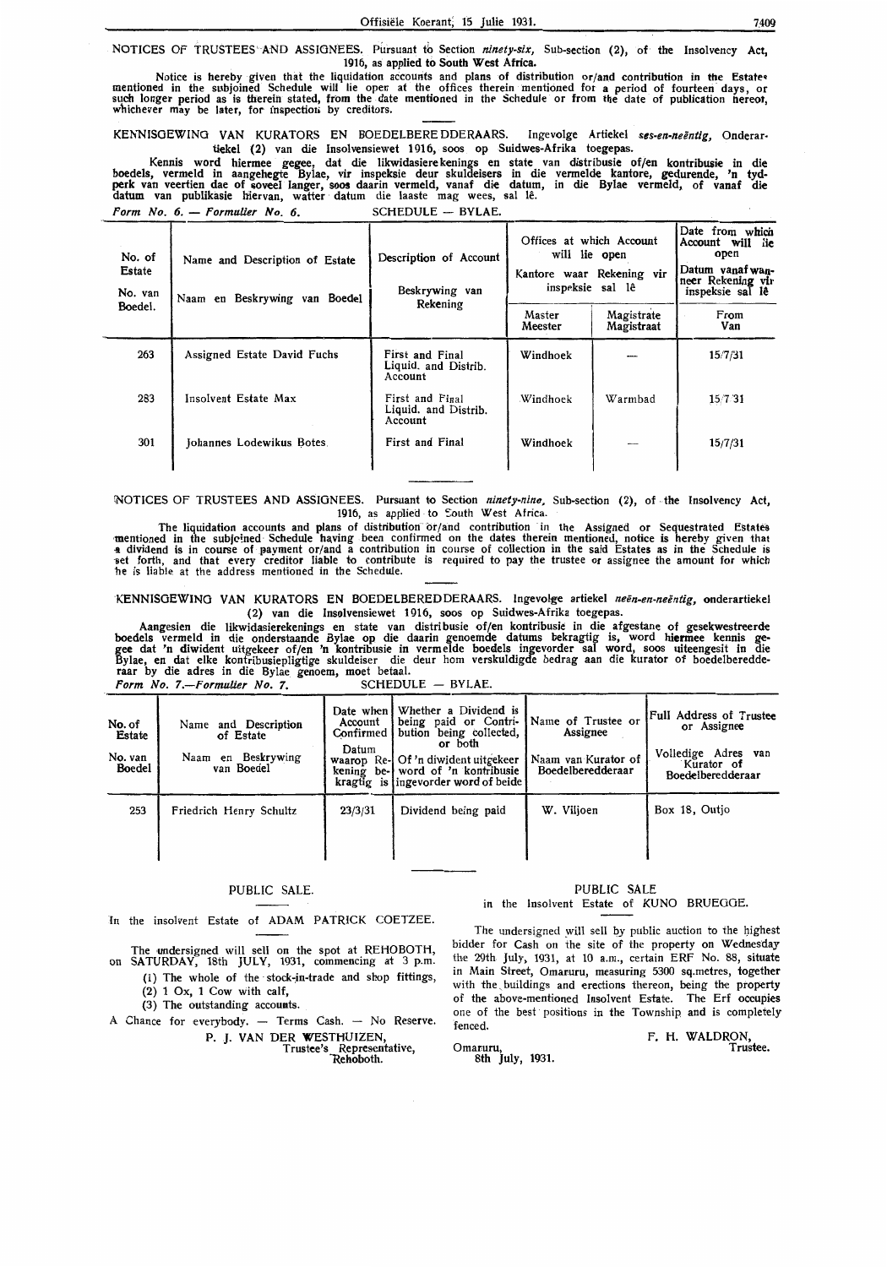NOTICES OF TRUSTEES AND ASSIGNEES. Pursuant to Section *ninety-six*, Sub-section (2), of the Insolvency Act, 1916, as applied to South **West Africa.** 

Notice is hereby given that the liquidation accounts and plans of distribution or/and contribution in the Estate• mentioned in the subjoined Schedule will lie open at the offices therein mentioned for a period of fourteen days, or<br>such longer period as is therein stated, from the date mentioned in the Schedule or from the date of publ whichever may be later, for inspection by creditors.

KENNISGEWING VAN KURATORS EN BOEDELBERE DDERAARS. Ingevolge Artiekel ses-en-neëntig, Onderartiekel (2) van die Insolvensiewet 1916, soos op Suidwes-Afrika toegepas.

Kennis **word hiermee gegee,** dat die likwidasiere kenings **en state van** distribusie **of/en kontribusie in die**  boedels, vermeld in **aangehegte** Bylae, vir inspeksie deur skuldeisers in die vermelde **kantore, gedurende, 'n tydperk van veertien dae of &oveel langer, soos daarin** vermeld, vanaf die datum, **in die Bylae vermeld, of vanaf die datum** van publikasie **hiervan,** watter · datum die laaste mag wees, sal le.

Form No. 6. - Formulier No. 6. SCHEDULE - BYLAE.

| No. of<br>Estate<br>No. van<br>Boedel. | Name and Description of Estate<br>Naam en Beskrywing van Boedel | Description of Account<br>Beskrywing van<br>Rekening | Offices at which Account<br>will lie open<br>Kantore waar Rekening vir<br>inspeksie sal lê<br>Master<br>Meester | Magistrate<br>Magistraat | Date from which<br>Account will<br>lie<br>open<br>Datum yanaf wan-<br>neer Rekening vir<br>inspeksie sal lê<br>From<br>Van |
|----------------------------------------|-----------------------------------------------------------------|------------------------------------------------------|-----------------------------------------------------------------------------------------------------------------|--------------------------|----------------------------------------------------------------------------------------------------------------------------|
| 263                                    | Assigned Estate David Fuchs                                     | First and Final<br>Liquid. and Distrib.<br>Account   | Windhoek                                                                                                        |                          | 15/7/31                                                                                                                    |
| 283                                    | Insolvent Estate Max                                            | First and Final<br>Liquid. and Distrib.<br>Account   | Windhoek                                                                                                        | Warmbad                  | 15/7/31                                                                                                                    |
| 301                                    | Johannes Lodewikus Botes.                                       | First and Final                                      | Windhoek                                                                                                        | whereas                  | 15/7/31                                                                                                                    |

(NOTICES OF TRUSTEES AND ASSIGNEES. Pursuant to Section *ninety-nine,* Sub-section (2), of -the Insolvency Act, 1916, as applied to South West Africa.

The liquidation accounts and plans of distribution or/and contribution in the Assigned or Sequestrated Estates<br>mentioned in the subjeined Schedule having been confirmed on the dates therein mentioned, notice is hereby give a dividend is in course of payment or/and a contribution in course of collection in the said Estates as in the Schedule is<br>set forth, and that every creditor liable to contribute is required to pay the trustee or assignee he is liable at the address mentioned in the Schedule.

·KENNISGEWING VAN KURATORS EN BOEDELBEREDDERAARS. Ingevol,ge artiekel *neen-en-neentig,* onderartiekel (2) van die Insolvensiewet 1916, soos op Suidwes-Afrika toegepas.

Aangesien die likwidasierekenings en state van distribusie of/en kontribusie in die afgestane of gesekwestreerde boedels vermeld in die onderstaande Bylae op die daarin genoemde datums bekragtig is, word **hiermee** kennis gegee dat 'n diwident uitgekeer of/en 'n kontribusie in vermelde boedels ingevorder sal word, soos uiteengesit in die Bylae, en dat elke kontribusiepligtige skuldeiser die deur hom verskuldigde bedrag aan die kurator of boedelberedde<br>raar by die adres in die Bylae genoem, moet betaal.

*Form No. 7.-Formulier No.* 7. SCHEDULE - BYLAE.

| No. of<br>Estate<br>No. van<br>Boedel | Name and Description<br>of Estate<br>Naam en Beskrywing<br>van Boedel | Date when I<br>Account<br>Confirmed<br>Datum<br>waarop<br>kening | Whether a Dividend is<br>being paid or Contri-<br>bution being collected,<br>or both<br>Re-I Of 'n diwident uitgekeer<br>be- word of 'n kontribusie<br>kragtig is ingevorder word of beide | Name of Trustee or<br>Assignee<br>Naam van Kurator of<br>Boedelberedderaar | <b>Full Address of Trustee</b><br>or Assignee<br>Volledige Adres<br>van<br>Kurator of<br>Boedelberedderaar |
|---------------------------------------|-----------------------------------------------------------------------|------------------------------------------------------------------|--------------------------------------------------------------------------------------------------------------------------------------------------------------------------------------------|----------------------------------------------------------------------------|------------------------------------------------------------------------------------------------------------|
| 253                                   | Friedrich Henry Schultz                                               | 23/3/31                                                          | Dividend being paid                                                                                                                                                                        | W. Viljoen                                                                 | Box 18, Outjo                                                                                              |

#### PUBLIC SALE.

In the insolvent Estate of ADAM PATRICK COETZEE.

The undersigned will sell on the spot at REHOBOTH, on SATURDAY, 18th JULY, 1931, commencing at 3 p.m.

(1) The whole of the · stock~in-trade and shop fittings,  $(2)$  1 Ox, 1 Cow with calf,

(3) The outstanding accounts.

A Chance for everybody. - Terms Cash. - No Reserve.

P. J. VAN DER WESTHUIZEN,

Trustee's Representative, "Rehoboth.

#### PUBLIC SALE in the Insolvent Estate of KUNO BRUEGGE.

The undersigned will sell by public auction to the highest bidder for Cash on the site of the property on Wednesday the 29th. July, 1931, at 10 a.m., certain ERF No. 88, situate in Main Street, Omaruru, measuring 5300 sq.metres, together with the buildings and erections thereon, being the property of the above-mentioned Insolvent Estate. The Erf occupies one of the best positions in the Township and is completely fenced.

Omaruru, 8th July, 1931. F. H. WALDRON, Trustee.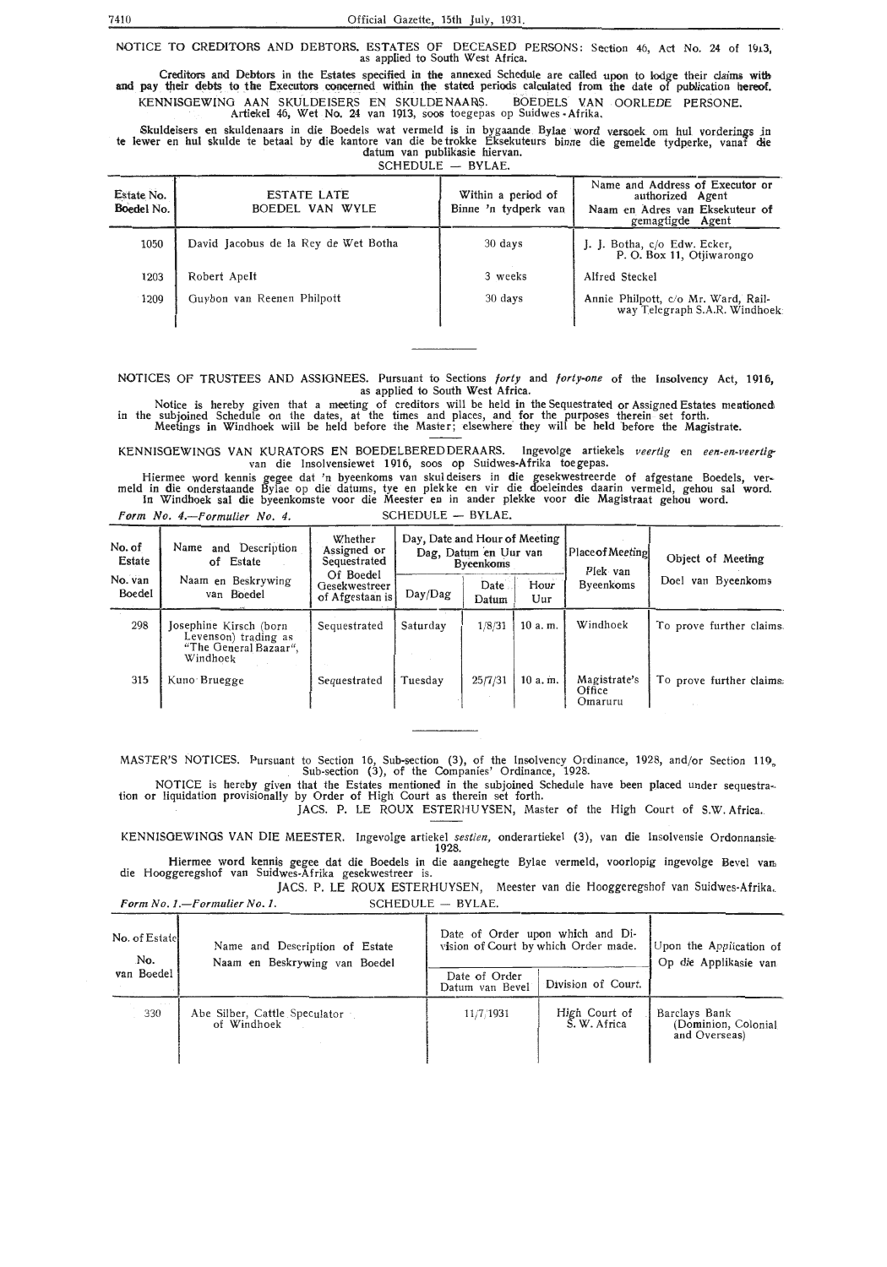NOTICE TO CREDITORS AND DEBTORS. ESTATES OF DECEASED PERSONS: Section 46, Act No. 24 of 1913, as applied to South West Africa.

Creditors and Debtors in the Estates specified in the annexed Sched:uie are called upon to lodge th·eir claims **with**  and pay tlteir debts to the Executors concerned witbin the stated periods calculated from the date of publication nereof. KENNISGEWING AAN SKULDEISERS EN SKULDENAARS. BOEDELS VAN OORLEDE PERSONE. Artiekel 46, Wet No. 24 van 1913, soos toegepas op Suidwes -Afrika.

Skuldeisers en skuldenaars in die Boedels wat vermeld is in bygaande Bylae word versoek om hul vorderings in te lewer en hul skulde te betaal by die kantore van die betrokke Eksekuteurs binne die gemelde tydperke, vanaf die datum van publikasic hiervan.

 $SCHEDULE - BYLAE.$ 

| Estate No.<br>Boedel No. | <b>ESTATE LATE</b><br>BOEDEL VAN WYLE | Within a period of<br>Binne 'n tydperk van | Name and Address of Executor or<br>authorized Agent<br>Naam en Adres van Eksekuteur of<br>gemagtigde Agent |
|--------------------------|---------------------------------------|--------------------------------------------|------------------------------------------------------------------------------------------------------------|
| 1050                     | David Jacobus de la Rey de Wet Botha  | $30$ days                                  | J. J. Botha, c/o Edw. Ecker,<br>P. O. Box 11, Otiiwarongo                                                  |
| 1203                     | Robert Apelt                          | 3 weeks                                    | Alfred Steckel                                                                                             |
| 1209                     | Guybon van Reenen Philpott            | 30 days                                    | Annie Philpott, c/o Mr. Ward, Rail-<br>way Telegraph S.A.R. Windhoek:                                      |

NOTICES Of TRUSTEES AND ASSIGNEES. Pursuant to Sections *forty* and *forty-one* of the Insolvency Act, 1916, as applied to South West Africa.

Notice is hereby given that a meeting of creditors will be held in the Sequestrated or Assigned Estates mentioned\ in the subjoined Schedule on the dates, at the times and places, and for the purposes therein set forth. Meetings in Windhoek will be held before the Master; elsewhere· they will be held ·before the Magistrate.

KENNISGEWINGS VAN KURATORS EN BOEDELBEREDDERAARS. Ingevolge artiekels veertig en een-en-veertigvan die Insolvensiewet 1916, soos op Suidwes-Afrika toegepas.

Hiermee word kennis gegee dat 'n byeenkoms van skul deisers in die gesekwestreerde of afgestane Boedels, ver- meld in die onderstaande Bylae op die datums, tye en plek ke en vir die doeleindes daarin vermeld, gehou sal word. In Windhoek sal die byeenkomste voor die Meester en in ander plekke voor die Magistraat gehou word.

Form No. 4.-Formulier No. 4. SCHEDULE - BYLAE.

| No. of<br>Estate  | and Description<br>Name<br>of Estate                                                | Whether<br>Assigned or<br>Sequestrated        | Day, Date and Hour of Meeting<br>Dag, Datum en Uur van<br><b>Byeenkoms</b> |               | <b>Place of Meeting</b><br>Plek van | Object of Meeting                 |                          |
|-------------------|-------------------------------------------------------------------------------------|-----------------------------------------------|----------------------------------------------------------------------------|---------------|-------------------------------------|-----------------------------------|--------------------------|
| No. van<br>Boedel | Naam en Beskrywing<br>van Boedel                                                    | Of Boedel<br>Gesekwestreer<br>of Afgestaan is | Day/Dag                                                                    | Date<br>Datum | Hour<br>Uur                         | Byeenkoms                         | van Byeenkoms<br>Doel    |
| 298               | Josephine Kirsch (born<br>Levenson) trading as<br>"The General Bazaar",<br>Windhoek | Sequestrated                                  | Saturday                                                                   | 1/8/31        | 10a.m.                              | Windhoek                          | To prove further claims. |
| 315               | Kuno Bruegge                                                                        | Sequestrated                                  | Tuesdav                                                                    | 25/7/31       | 10a.m.                              | Magistrate's<br>Office<br>Omaruru | To prove further claims: |

MASTER'S NOTICES. Pursuant to Section 16, Sub-section (3), of the Insolvency Ordinance, 1928, and/or Section 119, Sub-section (3), of the Companies' Ordinance, 1928.

NOTICE is hereby given that the Estates mentioned in the subjoined Schedule have been placed under sequestra-<br>tion or liquidation provisionally by Order of High Court as therein set forth.

JACS. P. LE ROUX ESTERHUYSEN, Master of the High Court of S.W. Africa.

KENNISOEWINGS VAN DIE MEESTER. Ingevolge artiekel *sestien,* onderartiekel (3), van die Insolvensie Ordonnansie-1928.

Hiermee word kennis gegee dat die Boedels in die aangehegte Bylae vermeld, voorlopig ingevolge Bevel van die Hooggeregshof van Suidwes-Afrika gesekwestreer is.

JACS. P. LE ROUX ESTERHUYSEN, Meester van die Hooggeregshof van Suidwes-Afrika .. *Form No. 1.-Formulier No. 1.* SCHEDULE - BYLAE.

| No. of Estatel<br>No. | Name and Description of Estate<br>Naam en Beskrywing van Boedel | Date of Order upon which and Di-<br>vision of Court by which Order made. | Upon the Application of<br>Op die Applikasie van |                                                       |
|-----------------------|-----------------------------------------------------------------|--------------------------------------------------------------------------|--------------------------------------------------|-------------------------------------------------------|
| van Boedel            |                                                                 | Date of Order<br>Datum van Bevel                                         | Division of Court.                               |                                                       |
| .<br>330              | Abe Silber, Cattle Speculator<br>of Windhoek                    | 11/7/1931                                                                | High Court of<br>S. W. Africa                    | Barclays Bank<br>(Dominion, Colonial<br>and Overseas) |